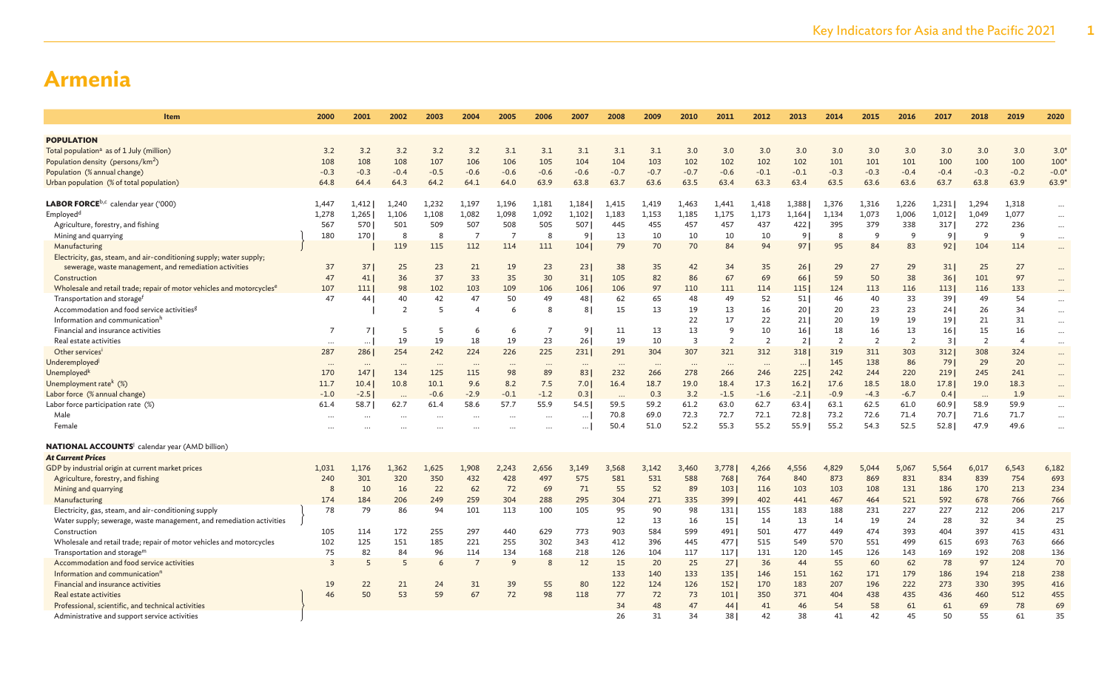| Item                                                                              | 2000           | 2001           | 2002           | 2003     | 2004           | 2005           | 2006           | 2007     | 2008     | 2009     | 2010           | 2011            | 2012           | 2013     | 2014           | 2015           | 2016           | 2017           | 2018           | 2019           | 2020      |
|-----------------------------------------------------------------------------------|----------------|----------------|----------------|----------|----------------|----------------|----------------|----------|----------|----------|----------------|-----------------|----------------|----------|----------------|----------------|----------------|----------------|----------------|----------------|-----------|
| <b>POPULATION</b>                                                                 |                |                |                |          |                |                |                |          |          |          |                |                 |                |          |                |                |                |                |                |                |           |
| Total population <sup>a</sup> as of 1 July (million)                              | 3.2            | 3.2            | 3.2            | 3.2      | 3.2            | 3.1            | 3.1            | 3.1      | 3.1      | 3.1      | 3.0            | 3.0             | 3.0            | 3.0      | 3.0            | 3.0            | 3.0            | 3.0            | 3.0            | 3.0            | $3.0*$    |
| Population density (persons/km <sup>2</sup> )                                     | 108            | 108            | 108            | 107      | 106            | 106            | 105            | 104      | 104      | 103      | 102            | 102             | 102            | 102      | 101            | 101            | 101            | 100            | 100            | 100            | $100*$    |
| Population (% annual change)                                                      | $-0.3$         | $-0.3$         | $-0.4$         | $-0.5$   | $-0.6$         | $-0.6$         | $-0.6$         | $-0.6$   | $-0.7$   | $-0.7$   | $-0.7$         | $-0.6$          | $-0.1$         | $-0.1$   | $-0.3$         | $-0.3$         | $-0.4$         | $-0.4$         | $-0.3$         | $-0.2$         | $-0.0*$   |
| Urban population (% of total population)                                          | 64.8           | 64.4           | 64.3           | 64.2     | 64.1           | 64.0           | 63.9           | 63.8     | 63.7     | 63.6     | 63.5           | 63.4            | 63.3           | 63.4     | 63.5           | 63.6           | 63.6           | 63.7           | 63.8           | 63.9           | $63.9*$   |
|                                                                                   |                |                |                |          |                |                |                |          |          |          |                |                 |                |          |                |                |                |                |                |                |           |
| <b>LABOR FORCE</b> <sup>b,c</sup> calendar year ('000)                            | 1,447          | 1,412          | 1,240          | 1,232    | 1,197          | 1,196          | 1,181          | 1,184    | 1,415    | 1,419    | 1,463          | 1,441           | 1,418          | 1,388    | 1,376          | 1,316          | 1,226          | 1,231          | 1,294          | 1,318          | $\cdots$  |
| Employed <sup>d</sup>                                                             | 1,278          | 1,265          | 1,106          | 1,108    | 1,082          | 1,098          | 1,092          | 1,102    | 1,183    | 1,153    | 1,185          | 1.175           | 1,173          | 1,164    | 1.134          | 1,073          | 1,006          | 1,012          | 1,049          | 1,077          | $\cdots$  |
| Agriculture, forestry, and fishing                                                | 567            | 570            | 501            | 509      | 507            | 508            | 505            | 507      | 445      | 455      | 457            | 457             | 437            | 422      | 395            | 379            | 338            | 317            | 272            | 236            | $\cdots$  |
| Mining and quarrying                                                              | 180            | 170            | 8              | 8        | $\overline{7}$ | $\overline{7}$ | 8              | 9        | 13       | 10       | 10             | 10              | 10             | 9        | 8              | 9              | 9              | 9 <sup>1</sup> | -9             | <sup>9</sup>   | $\cdots$  |
| Manufacturing                                                                     |                |                | 119            | 115      | 112            | 114            | 111            | 104      | 79       | 70       | 70             | 84              | 94             | 97       | 95             | 84             | 83             | 92             | 104            | 114            | $\cdots$  |
| Electricity, gas, steam, and air-conditioning supply; water supply;               |                |                |                |          |                |                |                |          |          |          |                |                 |                |          |                |                |                |                |                |                |           |
| sewerage, waste management, and remediation activities                            | 37             | 37             | 25             | 23       | 21             | 19             | 23             | 23       | 38       | 35       | 42             | 34              | 35             | 261      | 29             | 27             | 29             | 31             | 25             | 27             | $\cdots$  |
| Construction                                                                      | 47             | 41             | 36             | 37       | 33             | 35             | 30             | 31       | 105      | 82       | 86             | 67              | 69             | 66       | 59             | 50             | 38             | 36             | 101            | 97             | $\cdots$  |
| Wholesale and retail trade; repair of motor vehicles and motorcycles <sup>e</sup> | 107            | 111            | 98             | 102      | 103            | 109            | 106            | 106      | 106      | 97       | 110            | 111             | 114            | 115      | 124            | 113            | 116            | 113            | 116            | 133            | $\cdots$  |
| Transportation and storage <sup>1</sup>                                           | 47             | 44             | 40             | 42       | 47             | 50             | 49             | 48       | 62       | 65       | 48             | 49              | 52             | 51       | 46             | 40             | 33             | 39             | 49             | 54             | $\cdots$  |
| Accommodation and food service activities <sup>g</sup>                            |                |                | $\overline{2}$ | 5        | $\overline{4}$ | 6              | 8              | 8        | 15       | 13       | 19             | 13              | 16             | 201      | 20             | 23             | 23             | 24             | 26             | 34             | $\cdots$  |
| Information and communication <sup>h</sup>                                        |                |                |                |          |                |                |                |          |          |          | 22             | 17              | 22             | 211      | 20             | 19             | 19             | 19             | 21             | 31             | $\cdots$  |
| Financial and insurance activities                                                |                | 7 <sup>1</sup> | 5              |          | 6              | 6              | $\overline{7}$ | 91       | 11       | 13       | 13             | <sup>9</sup>    | 10             | 16 I     | 18             | 16             | 13             | 16             | 15             | 16             | $\cdots$  |
| Real estate activities                                                            | $\ddots$       | $\cdots$       | 19             | 19       | 18             | 19             | 23             | 261      | 19       | 10       | $\overline{3}$ | $\overline{2}$  | $\overline{2}$ | 2        | $\overline{2}$ | $\overline{2}$ | $\overline{2}$ | 3              | $\overline{2}$ | $\overline{A}$ | $\cdots$  |
| Other services <sup>i</sup>                                                       | 287            | 286            | 254            | 242      | 224            | 226            | 225            | 231      | 291      | 304      | 307            | 321             | 312            | 318      | 319            | 311            | 303            | 312            | 308            | 324            | $\cdots$  |
| Underemployed <sup>j</sup>                                                        | $\ddots$       | $\cdots$       | $\cdots$       | $\cdots$ | $\cdots$       | $\cdots$       | $\ddots$       | $\cdots$ | $\cdots$ | $\cdots$ | $\ddots$       | $\cdots$        | $\cdot$ .      | $\cdots$ | 145            | 138            | 86             | 79             | 29             | 20             | $\cdots$  |
| Unemployed <sup>k</sup>                                                           | 170            | 147            | 134            | 125      | 115            | 98             | 89             | 83       | 232      | 266      | 278            | 266             | 246            | 225      | 242            | 244            | 220            | 2191           | 245            | 241            | $\cdots$  |
| Unemployment rate <sup>k</sup> (%)                                                | 11.7           | 10.4           | 10.8           | 10.1     | 9.6            | 8.2            | 7.5            | 7.0      | 16.4     | 18.7     | 19.0           | 18.4            | 17.3           | 16.2     | 17.6           | 18.5           | 18.0           | 17.8           | 19.0           | 18.3           | $\cdots$  |
| Labor force (% annual change)                                                     | $-1.0$         | $-2.5$         | $\ddots$       | $-0.6$   | $-2.9$         | $-0.1$         | $-1.2$         | 0.3      | $\cdots$ | 0.3      | 3.2            | $-1.5$          | $-1.6$         | $-2.1$   | $-0.9$         | $-4.3$         | $-6.7$         | 0.4            | $\ddots$       | 1.9            | $\cdots$  |
| Labor force participation rate (%)                                                | 61.4           | 58.7           | 62.7           | 61.4     | 58.6           | 57.7           | 55.9           | 54.5     | 59.5     | 59.2     | 61.2           | 63.0            | 62.7           | 63.4     | 63.1           | 62.5           | 61.0           | 60.9           | 58.9           | 59.9           | $\cdots$  |
| Male                                                                              |                |                |                |          |                | $\cdots$       |                | $\cdots$ | 70.8     | 69.0     | 72.3           | 72.7            | 72.1           | 72.8     | 73.2           | 72.6           | 71.4           | 70.7           | 71.6           | 71.7           | $\ldots$  |
| Female                                                                            |                |                |                |          |                |                |                | $\cdots$ | 50.4     | 51.0     | 52.2           | 55.3            | 55.2           | 55.9     | 55.2           | 54.3           | 52.5           | 52.8           | 47.9           | 49.6           | $\ddotsc$ |
| <b>NATIONAL ACCOUNTS</b> calendar year (AMD billion)                              |                |                |                |          |                |                |                |          |          |          |                |                 |                |          |                |                |                |                |                |                |           |
| <b>At Current Prices</b>                                                          |                |                |                |          |                |                |                |          |          |          |                |                 |                |          |                |                |                |                |                |                |           |
| GDP by industrial origin at current market prices                                 | 1,031          | 1.176          | 1.362          | 1,625    | 1.908          | 2,243          | 2,656          | 3.149    | 3.568    | 3,142    | 3,460          | 3,778           | 4,266          | 4.556    | 4,829          | 5,044          | 5,067          | 5,564          | 6,017          | 6,543          | 6,182     |
| Agriculture, forestry, and fishing                                                | 240            | 301            | 320            | 350      | 432            | 428            | 497            | 575      | 581      | 531      | 588            | 768             | 764            | 840      | 873            | 869            | 831            | 834            | 839            | 754            | 693       |
| Mining and quarrying                                                              | 8              | 10             | 16             | 22       | 62             | 72             | 69             | 71       | 55       | 52       | 89             | 103             | 116            | 103      | 103            | 108            | 131            | 186            | 170            | 213            | 234       |
| Manufacturing                                                                     | 174            | 184            | 206            | 249      | 259            | 304            | 288            | 295      | 304      | 271      | 335            | 399             | 402            | 441      | 467            | 464            | 521            | 592            | 678            | 766            | 766       |
| Electricity, gas, steam, and air-conditioning supply                              | 78             | 79             | 86             | 94       | 101            | 113            | 100            | 105      | 95       | 90       | 98             | 131             | 155            | 183      | 188            | 231            | 227            | 227            | 212            | 206            | 217       |
| Water supply; sewerage, waste management, and remediation activities              |                |                |                |          |                |                |                |          | 12       | 13       | 16             | 15 <sup>1</sup> | 14             | 13       | 14             | 19             | 24             | 28             | 32             | 34             | 25        |
| Construction                                                                      | 105            | 114            | 172            | 255      | 297            | 440            | 629            | 773      | 903      | 584      | 599            | 491             | 501            | 477      | 449            | 474            | 393            | 404            | 397            | 415            | 431       |
| Wholesale and retail trade; repair of motor vehicles and motorcycles              | 102            | 125            | 151            | 185      | 221            | 255            | 302            | 343      | 412      | 396      | 445            | 477             | 515            | 549      | 570            | 551            | 499            | 615            | 693            | 763            | 666       |
| Transportation and storage <sup>m</sup>                                           | 75             | 82             | 84             | 96       | 114            | 134            | 168            | 218      | 126      | 104      | 117            | 117             | 131            | 120      | 145            | 126            | 143            | 169            | 192            | 208            | 136       |
| Accommodation and food service activities                                         | $\overline{3}$ | 5              | 5              | 6        | $\overline{7}$ | 9              |                | 12       | 15       | 20       | 25             | 27              | 36             | 44       | 55             | 60             | 62             | 78             | 97             | 124            | 70        |
| Information and communication'                                                    |                |                |                |          |                |                |                |          | 133      | 140      | 133            | 135             | 146            | 151      | 162            | 171            | 179            | 186            | 194            | 218            | 238       |
| Financial and insurance activities                                                | 19             | 22             | 21             | 24       | 31             | 39             | 55             | 80       | 122      | 124      | 126            | 152             | 170            | 183      | 207            | 196            | 222            | 273            | 330            | 395            | 416       |
| Real estate activities                                                            | 46             | 50             | 53             | 59       | 67             | 72             | 98             | 118      | 77       | 72       | 73             | 101             | 350            | 371      | 404            | 438            | 435            | 436            | 460            | 512            | 455       |
| Professional, scientific, and technical activities                                |                |                |                |          |                |                |                |          | 34       | 48       | 47             | 44              | 41             | 46       | 54             | 58             | 61             | 61             | 69             | 78             | 69        |
| Administrative and support service activities                                     |                |                |                |          |                |                |                |          | 26       | 31       | 34             | 38 l            | 42             | 38       | 41             | 42             | 45             | 50             | 55             | 61             | 35        |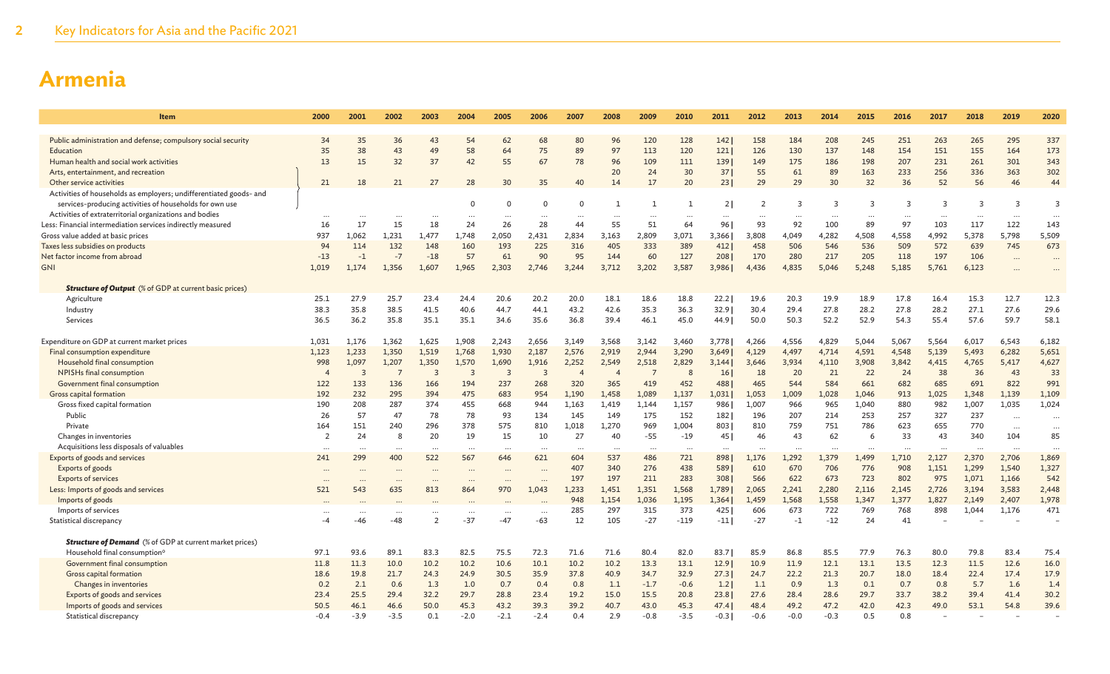| 2000           | 2001                                                                                                                                       | 2002                                                                                                                                                             | 2003                                                                                                                             | 2004                                                                                                                                                                     | 2005                                                                                                                                                       | 2006                                                                                                                                               | 2007                                                                                                                                                                        | 2008                                                                                                                                                                            | 2009                                                                                                                                                                                          | 2010                                                                                                                                                                                        | 2011                                                                                                                                                                                                   | 2012                                                                                                                                                                                    | 2013                                                                                                                                                                                             | 2014                                                                                                                                                                                                             | 2015                                                                                                                                                                                                               | 2016                                                                                                                                                                                       | 2017                                                                                                                                                                                                          | 2018                                                                                                                                                                                   | 2019                                                                                                                                                                                                       | 2020                                                                                                                                                                               |
|----------------|--------------------------------------------------------------------------------------------------------------------------------------------|------------------------------------------------------------------------------------------------------------------------------------------------------------------|----------------------------------------------------------------------------------------------------------------------------------|--------------------------------------------------------------------------------------------------------------------------------------------------------------------------|------------------------------------------------------------------------------------------------------------------------------------------------------------|----------------------------------------------------------------------------------------------------------------------------------------------------|-----------------------------------------------------------------------------------------------------------------------------------------------------------------------------|---------------------------------------------------------------------------------------------------------------------------------------------------------------------------------|-----------------------------------------------------------------------------------------------------------------------------------------------------------------------------------------------|---------------------------------------------------------------------------------------------------------------------------------------------------------------------------------------------|--------------------------------------------------------------------------------------------------------------------------------------------------------------------------------------------------------|-----------------------------------------------------------------------------------------------------------------------------------------------------------------------------------------|--------------------------------------------------------------------------------------------------------------------------------------------------------------------------------------------------|------------------------------------------------------------------------------------------------------------------------------------------------------------------------------------------------------------------|--------------------------------------------------------------------------------------------------------------------------------------------------------------------------------------------------------------------|--------------------------------------------------------------------------------------------------------------------------------------------------------------------------------------------|---------------------------------------------------------------------------------------------------------------------------------------------------------------------------------------------------------------|----------------------------------------------------------------------------------------------------------------------------------------------------------------------------------------|------------------------------------------------------------------------------------------------------------------------------------------------------------------------------------------------------------|------------------------------------------------------------------------------------------------------------------------------------------------------------------------------------|
|                |                                                                                                                                            |                                                                                                                                                                  |                                                                                                                                  |                                                                                                                                                                          |                                                                                                                                                            |                                                                                                                                                    |                                                                                                                                                                             |                                                                                                                                                                                 |                                                                                                                                                                                               |                                                                                                                                                                                             |                                                                                                                                                                                                        |                                                                                                                                                                                         |                                                                                                                                                                                                  |                                                                                                                                                                                                                  |                                                                                                                                                                                                                    |                                                                                                                                                                                            |                                                                                                                                                                                                               |                                                                                                                                                                                        |                                                                                                                                                                                                            |                                                                                                                                                                                    |
|                |                                                                                                                                            |                                                                                                                                                                  |                                                                                                                                  |                                                                                                                                                                          |                                                                                                                                                            |                                                                                                                                                    |                                                                                                                                                                             |                                                                                                                                                                                 |                                                                                                                                                                                               |                                                                                                                                                                                             |                                                                                                                                                                                                        |                                                                                                                                                                                         |                                                                                                                                                                                                  |                                                                                                                                                                                                                  |                                                                                                                                                                                                                    |                                                                                                                                                                                            |                                                                                                                                                                                                               |                                                                                                                                                                                        |                                                                                                                                                                                                            | 337                                                                                                                                                                                |
|                |                                                                                                                                            |                                                                                                                                                                  |                                                                                                                                  |                                                                                                                                                                          |                                                                                                                                                            |                                                                                                                                                    |                                                                                                                                                                             |                                                                                                                                                                                 |                                                                                                                                                                                               |                                                                                                                                                                                             |                                                                                                                                                                                                        |                                                                                                                                                                                         |                                                                                                                                                                                                  |                                                                                                                                                                                                                  |                                                                                                                                                                                                                    |                                                                                                                                                                                            |                                                                                                                                                                                                               |                                                                                                                                                                                        |                                                                                                                                                                                                            | 173                                                                                                                                                                                |
|                |                                                                                                                                            |                                                                                                                                                                  |                                                                                                                                  |                                                                                                                                                                          |                                                                                                                                                            |                                                                                                                                                    |                                                                                                                                                                             |                                                                                                                                                                                 |                                                                                                                                                                                               |                                                                                                                                                                                             |                                                                                                                                                                                                        |                                                                                                                                                                                         |                                                                                                                                                                                                  |                                                                                                                                                                                                                  |                                                                                                                                                                                                                    |                                                                                                                                                                                            |                                                                                                                                                                                                               |                                                                                                                                                                                        |                                                                                                                                                                                                            | 343                                                                                                                                                                                |
|                |                                                                                                                                            |                                                                                                                                                                  |                                                                                                                                  |                                                                                                                                                                          |                                                                                                                                                            |                                                                                                                                                    |                                                                                                                                                                             |                                                                                                                                                                                 |                                                                                                                                                                                               |                                                                                                                                                                                             |                                                                                                                                                                                                        |                                                                                                                                                                                         |                                                                                                                                                                                                  |                                                                                                                                                                                                                  |                                                                                                                                                                                                                    |                                                                                                                                                                                            |                                                                                                                                                                                                               |                                                                                                                                                                                        |                                                                                                                                                                                                            | 302<br>44                                                                                                                                                                          |
|                |                                                                                                                                            |                                                                                                                                                                  |                                                                                                                                  |                                                                                                                                                                          |                                                                                                                                                            |                                                                                                                                                    |                                                                                                                                                                             |                                                                                                                                                                                 |                                                                                                                                                                                               |                                                                                                                                                                                             |                                                                                                                                                                                                        |                                                                                                                                                                                         |                                                                                                                                                                                                  |                                                                                                                                                                                                                  |                                                                                                                                                                                                                    |                                                                                                                                                                                            |                                                                                                                                                                                                               |                                                                                                                                                                                        |                                                                                                                                                                                                            |                                                                                                                                                                                    |
|                |                                                                                                                                            |                                                                                                                                                                  |                                                                                                                                  |                                                                                                                                                                          |                                                                                                                                                            |                                                                                                                                                    |                                                                                                                                                                             |                                                                                                                                                                                 |                                                                                                                                                                                               |                                                                                                                                                                                             |                                                                                                                                                                                                        |                                                                                                                                                                                         |                                                                                                                                                                                                  |                                                                                                                                                                                                                  |                                                                                                                                                                                                                    |                                                                                                                                                                                            |                                                                                                                                                                                                               |                                                                                                                                                                                        |                                                                                                                                                                                                            | $\overline{3}$                                                                                                                                                                     |
|                |                                                                                                                                            |                                                                                                                                                                  |                                                                                                                                  |                                                                                                                                                                          |                                                                                                                                                            |                                                                                                                                                    |                                                                                                                                                                             |                                                                                                                                                                                 |                                                                                                                                                                                               |                                                                                                                                                                                             |                                                                                                                                                                                                        |                                                                                                                                                                                         |                                                                                                                                                                                                  |                                                                                                                                                                                                                  |                                                                                                                                                                                                                    |                                                                                                                                                                                            |                                                                                                                                                                                                               |                                                                                                                                                                                        |                                                                                                                                                                                                            |                                                                                                                                                                                    |
|                |                                                                                                                                            |                                                                                                                                                                  |                                                                                                                                  |                                                                                                                                                                          |                                                                                                                                                            |                                                                                                                                                    |                                                                                                                                                                             |                                                                                                                                                                                 |                                                                                                                                                                                               |                                                                                                                                                                                             |                                                                                                                                                                                                        |                                                                                                                                                                                         |                                                                                                                                                                                                  |                                                                                                                                                                                                                  |                                                                                                                                                                                                                    |                                                                                                                                                                                            |                                                                                                                                                                                                               |                                                                                                                                                                                        |                                                                                                                                                                                                            | $\ddotsc$<br>143                                                                                                                                                                   |
|                |                                                                                                                                            |                                                                                                                                                                  |                                                                                                                                  |                                                                                                                                                                          |                                                                                                                                                            |                                                                                                                                                    |                                                                                                                                                                             |                                                                                                                                                                                 |                                                                                                                                                                                               |                                                                                                                                                                                             |                                                                                                                                                                                                        |                                                                                                                                                                                         |                                                                                                                                                                                                  |                                                                                                                                                                                                                  |                                                                                                                                                                                                                    |                                                                                                                                                                                            |                                                                                                                                                                                                               |                                                                                                                                                                                        |                                                                                                                                                                                                            | 5,509                                                                                                                                                                              |
|                |                                                                                                                                            |                                                                                                                                                                  |                                                                                                                                  |                                                                                                                                                                          |                                                                                                                                                            |                                                                                                                                                    |                                                                                                                                                                             |                                                                                                                                                                                 |                                                                                                                                                                                               |                                                                                                                                                                                             |                                                                                                                                                                                                        |                                                                                                                                                                                         |                                                                                                                                                                                                  |                                                                                                                                                                                                                  |                                                                                                                                                                                                                    |                                                                                                                                                                                            |                                                                                                                                                                                                               |                                                                                                                                                                                        |                                                                                                                                                                                                            | 673                                                                                                                                                                                |
|                |                                                                                                                                            |                                                                                                                                                                  |                                                                                                                                  |                                                                                                                                                                          |                                                                                                                                                            |                                                                                                                                                    |                                                                                                                                                                             |                                                                                                                                                                                 |                                                                                                                                                                                               |                                                                                                                                                                                             |                                                                                                                                                                                                        |                                                                                                                                                                                         |                                                                                                                                                                                                  |                                                                                                                                                                                                                  |                                                                                                                                                                                                                    |                                                                                                                                                                                            |                                                                                                                                                                                                               |                                                                                                                                                                                        |                                                                                                                                                                                                            |                                                                                                                                                                                    |
|                |                                                                                                                                            |                                                                                                                                                                  |                                                                                                                                  |                                                                                                                                                                          |                                                                                                                                                            |                                                                                                                                                    |                                                                                                                                                                             |                                                                                                                                                                                 |                                                                                                                                                                                               |                                                                                                                                                                                             |                                                                                                                                                                                                        |                                                                                                                                                                                         |                                                                                                                                                                                                  |                                                                                                                                                                                                                  |                                                                                                                                                                                                                    |                                                                                                                                                                                            |                                                                                                                                                                                                               |                                                                                                                                                                                        |                                                                                                                                                                                                            | $\ddots$                                                                                                                                                                           |
|                |                                                                                                                                            |                                                                                                                                                                  |                                                                                                                                  |                                                                                                                                                                          |                                                                                                                                                            |                                                                                                                                                    |                                                                                                                                                                             |                                                                                                                                                                                 |                                                                                                                                                                                               |                                                                                                                                                                                             |                                                                                                                                                                                                        |                                                                                                                                                                                         |                                                                                                                                                                                                  |                                                                                                                                                                                                                  |                                                                                                                                                                                                                    |                                                                                                                                                                                            |                                                                                                                                                                                                               |                                                                                                                                                                                        |                                                                                                                                                                                                            | $\ddotsc$                                                                                                                                                                          |
|                |                                                                                                                                            |                                                                                                                                                                  |                                                                                                                                  |                                                                                                                                                                          |                                                                                                                                                            |                                                                                                                                                    |                                                                                                                                                                             |                                                                                                                                                                                 |                                                                                                                                                                                               |                                                                                                                                                                                             |                                                                                                                                                                                                        |                                                                                                                                                                                         |                                                                                                                                                                                                  |                                                                                                                                                                                                                  |                                                                                                                                                                                                                    |                                                                                                                                                                                            |                                                                                                                                                                                                               |                                                                                                                                                                                        |                                                                                                                                                                                                            |                                                                                                                                                                                    |
| 25.1           | 27.9                                                                                                                                       | 25.7                                                                                                                                                             | 23.4                                                                                                                             | 24.4                                                                                                                                                                     | 20.6                                                                                                                                                       | 20.2                                                                                                                                               | 20.0                                                                                                                                                                        | 18.1                                                                                                                                                                            | 18.6                                                                                                                                                                                          | 18.8                                                                                                                                                                                        | 22.2                                                                                                                                                                                                   | 19.6                                                                                                                                                                                    | 20.3                                                                                                                                                                                             | 19.9                                                                                                                                                                                                             | 18.9                                                                                                                                                                                                               | 17.8                                                                                                                                                                                       | 16.4                                                                                                                                                                                                          | 15.3                                                                                                                                                                                   | 12.7                                                                                                                                                                                                       | 12.3                                                                                                                                                                               |
| 38.3           | 35.8                                                                                                                                       | 38.5                                                                                                                                                             | 41.5                                                                                                                             | 40.6                                                                                                                                                                     | 44.7                                                                                                                                                       | 44.1                                                                                                                                               | 43.2                                                                                                                                                                        | 42.6                                                                                                                                                                            | 35.3                                                                                                                                                                                          | 36.3                                                                                                                                                                                        | 32.9                                                                                                                                                                                                   | 30.4                                                                                                                                                                                    | 29.4                                                                                                                                                                                             | 27.8                                                                                                                                                                                                             | 28.2                                                                                                                                                                                                               | 27.8                                                                                                                                                                                       | 28.2                                                                                                                                                                                                          | 27.1                                                                                                                                                                                   | 27.6                                                                                                                                                                                                       | 29.6                                                                                                                                                                               |
| 36.5           | 36.2                                                                                                                                       | 35.8                                                                                                                                                             | 35.1                                                                                                                             | 35.1                                                                                                                                                                     | 34.6                                                                                                                                                       | 35.6                                                                                                                                               | 36.8                                                                                                                                                                        | 39.4                                                                                                                                                                            | 46.1                                                                                                                                                                                          | 45.0                                                                                                                                                                                        | 44.9                                                                                                                                                                                                   | 50.0                                                                                                                                                                                    | 50.3                                                                                                                                                                                             | 52.2                                                                                                                                                                                                             | 52.9                                                                                                                                                                                                               | 54.3                                                                                                                                                                                       | 55.4                                                                                                                                                                                                          | 57.6                                                                                                                                                                                   | 59.7                                                                                                                                                                                                       | 58.1                                                                                                                                                                               |
|                |                                                                                                                                            |                                                                                                                                                                  |                                                                                                                                  |                                                                                                                                                                          |                                                                                                                                                            |                                                                                                                                                    |                                                                                                                                                                             |                                                                                                                                                                                 |                                                                                                                                                                                               |                                                                                                                                                                                             |                                                                                                                                                                                                        |                                                                                                                                                                                         |                                                                                                                                                                                                  |                                                                                                                                                                                                                  |                                                                                                                                                                                                                    |                                                                                                                                                                                            |                                                                                                                                                                                                               |                                                                                                                                                                                        |                                                                                                                                                                                                            |                                                                                                                                                                                    |
| 1,031          | 1,176                                                                                                                                      | 1,362                                                                                                                                                            | 1,625                                                                                                                            | 1,908                                                                                                                                                                    | 2,243                                                                                                                                                      | 2,656                                                                                                                                              | 3,149                                                                                                                                                                       | 3,568                                                                                                                                                                           | 3,142                                                                                                                                                                                         | 3,460                                                                                                                                                                                       | 3,778                                                                                                                                                                                                  | 4,266                                                                                                                                                                                   | 4,556                                                                                                                                                                                            | 4,829                                                                                                                                                                                                            | 5,044                                                                                                                                                                                                              | 5,067                                                                                                                                                                                      | 5,564                                                                                                                                                                                                         | 6,017                                                                                                                                                                                  | 6,543                                                                                                                                                                                                      | 6,182                                                                                                                                                                              |
| 1,123          | 1,233                                                                                                                                      | 1,350                                                                                                                                                            |                                                                                                                                  | 1,768                                                                                                                                                                    | 1,930                                                                                                                                                      |                                                                                                                                                    | 2,576                                                                                                                                                                       | 2,919                                                                                                                                                                           |                                                                                                                                                                                               | 3,290                                                                                                                                                                                       | 3,649                                                                                                                                                                                                  | 4,129                                                                                                                                                                                   | 4,497                                                                                                                                                                                            | 4,714                                                                                                                                                                                                            | 4,591                                                                                                                                                                                                              | 4,548                                                                                                                                                                                      | 5,139                                                                                                                                                                                                         | 5,493                                                                                                                                                                                  | 6,282                                                                                                                                                                                                      | 5,651                                                                                                                                                                              |
|                |                                                                                                                                            |                                                                                                                                                                  |                                                                                                                                  |                                                                                                                                                                          |                                                                                                                                                            |                                                                                                                                                    |                                                                                                                                                                             |                                                                                                                                                                                 |                                                                                                                                                                                               |                                                                                                                                                                                             | 3.144                                                                                                                                                                                                  | 3,646                                                                                                                                                                                   |                                                                                                                                                                                                  |                                                                                                                                                                                                                  |                                                                                                                                                                                                                    |                                                                                                                                                                                            |                                                                                                                                                                                                               |                                                                                                                                                                                        |                                                                                                                                                                                                            | 4,627                                                                                                                                                                              |
| $\overline{4}$ |                                                                                                                                            | 7                                                                                                                                                                |                                                                                                                                  | 3                                                                                                                                                                        |                                                                                                                                                            |                                                                                                                                                    | $\overline{4}$                                                                                                                                                              | 4                                                                                                                                                                               | -7                                                                                                                                                                                            | 8                                                                                                                                                                                           | 16                                                                                                                                                                                                     |                                                                                                                                                                                         |                                                                                                                                                                                                  |                                                                                                                                                                                                                  |                                                                                                                                                                                                                    |                                                                                                                                                                                            |                                                                                                                                                                                                               |                                                                                                                                                                                        |                                                                                                                                                                                                            | 33                                                                                                                                                                                 |
|                |                                                                                                                                            |                                                                                                                                                                  |                                                                                                                                  |                                                                                                                                                                          |                                                                                                                                                            |                                                                                                                                                    |                                                                                                                                                                             |                                                                                                                                                                                 |                                                                                                                                                                                               |                                                                                                                                                                                             |                                                                                                                                                                                                        |                                                                                                                                                                                         |                                                                                                                                                                                                  |                                                                                                                                                                                                                  |                                                                                                                                                                                                                    |                                                                                                                                                                                            |                                                                                                                                                                                                               |                                                                                                                                                                                        |                                                                                                                                                                                                            | 991                                                                                                                                                                                |
|                |                                                                                                                                            |                                                                                                                                                                  |                                                                                                                                  |                                                                                                                                                                          |                                                                                                                                                            |                                                                                                                                                    |                                                                                                                                                                             |                                                                                                                                                                                 |                                                                                                                                                                                               |                                                                                                                                                                                             |                                                                                                                                                                                                        |                                                                                                                                                                                         |                                                                                                                                                                                                  |                                                                                                                                                                                                                  |                                                                                                                                                                                                                    |                                                                                                                                                                                            |                                                                                                                                                                                                               |                                                                                                                                                                                        |                                                                                                                                                                                                            | 1,109                                                                                                                                                                              |
|                |                                                                                                                                            |                                                                                                                                                                  |                                                                                                                                  |                                                                                                                                                                          |                                                                                                                                                            |                                                                                                                                                    |                                                                                                                                                                             |                                                                                                                                                                                 |                                                                                                                                                                                               |                                                                                                                                                                                             |                                                                                                                                                                                                        |                                                                                                                                                                                         |                                                                                                                                                                                                  |                                                                                                                                                                                                                  |                                                                                                                                                                                                                    |                                                                                                                                                                                            |                                                                                                                                                                                                               |                                                                                                                                                                                        |                                                                                                                                                                                                            | 1,024                                                                                                                                                                              |
|                |                                                                                                                                            |                                                                                                                                                                  |                                                                                                                                  |                                                                                                                                                                          |                                                                                                                                                            |                                                                                                                                                    |                                                                                                                                                                             |                                                                                                                                                                                 |                                                                                                                                                                                               |                                                                                                                                                                                             |                                                                                                                                                                                                        |                                                                                                                                                                                         |                                                                                                                                                                                                  |                                                                                                                                                                                                                  |                                                                                                                                                                                                                    |                                                                                                                                                                                            |                                                                                                                                                                                                               |                                                                                                                                                                                        | $\ddotsc$                                                                                                                                                                                                  | $\ddots$                                                                                                                                                                           |
|                |                                                                                                                                            |                                                                                                                                                                  |                                                                                                                                  |                                                                                                                                                                          |                                                                                                                                                            |                                                                                                                                                    |                                                                                                                                                                             |                                                                                                                                                                                 |                                                                                                                                                                                               |                                                                                                                                                                                             |                                                                                                                                                                                                        |                                                                                                                                                                                         |                                                                                                                                                                                                  |                                                                                                                                                                                                                  |                                                                                                                                                                                                                    |                                                                                                                                                                                            |                                                                                                                                                                                                               |                                                                                                                                                                                        |                                                                                                                                                                                                            | $\ddotsc$                                                                                                                                                                          |
|                |                                                                                                                                            |                                                                                                                                                                  |                                                                                                                                  |                                                                                                                                                                          |                                                                                                                                                            |                                                                                                                                                    |                                                                                                                                                                             |                                                                                                                                                                                 |                                                                                                                                                                                               |                                                                                                                                                                                             |                                                                                                                                                                                                        |                                                                                                                                                                                         |                                                                                                                                                                                                  |                                                                                                                                                                                                                  |                                                                                                                                                                                                                    |                                                                                                                                                                                            |                                                                                                                                                                                                               |                                                                                                                                                                                        |                                                                                                                                                                                                            | 85                                                                                                                                                                                 |
| $\cdots$       | $\cdots$                                                                                                                                   | $\cdots$                                                                                                                                                         |                                                                                                                                  | $\cdots$                                                                                                                                                                 | $\cdots$                                                                                                                                                   |                                                                                                                                                    |                                                                                                                                                                             | $\cdots$                                                                                                                                                                        | $\cdots$                                                                                                                                                                                      | $\cdots$                                                                                                                                                                                    | $\cdots$                                                                                                                                                                                               | $\cdot \cdot$                                                                                                                                                                           | $\cdots$                                                                                                                                                                                         |                                                                                                                                                                                                                  | $\cdot$ .                                                                                                                                                                                                          |                                                                                                                                                                                            | $\ddotsc$                                                                                                                                                                                                     | $\cdots$                                                                                                                                                                               |                                                                                                                                                                                                            |                                                                                                                                                                                    |
|                |                                                                                                                                            |                                                                                                                                                                  |                                                                                                                                  |                                                                                                                                                                          |                                                                                                                                                            |                                                                                                                                                    |                                                                                                                                                                             |                                                                                                                                                                                 |                                                                                                                                                                                               |                                                                                                                                                                                             |                                                                                                                                                                                                        |                                                                                                                                                                                         |                                                                                                                                                                                                  |                                                                                                                                                                                                                  |                                                                                                                                                                                                                    |                                                                                                                                                                                            |                                                                                                                                                                                                               |                                                                                                                                                                                        |                                                                                                                                                                                                            | 1,869                                                                                                                                                                              |
|                | $\ddots$                                                                                                                                   |                                                                                                                                                                  |                                                                                                                                  |                                                                                                                                                                          | $\ddotsc$                                                                                                                                                  |                                                                                                                                                    |                                                                                                                                                                             |                                                                                                                                                                                 |                                                                                                                                                                                               |                                                                                                                                                                                             |                                                                                                                                                                                                        |                                                                                                                                                                                         |                                                                                                                                                                                                  |                                                                                                                                                                                                                  |                                                                                                                                                                                                                    |                                                                                                                                                                                            |                                                                                                                                                                                                               |                                                                                                                                                                                        |                                                                                                                                                                                                            | 1,327                                                                                                                                                                              |
| $\cdots$       |                                                                                                                                            | $\ddotsc$                                                                                                                                                        |                                                                                                                                  |                                                                                                                                                                          |                                                                                                                                                            |                                                                                                                                                    |                                                                                                                                                                             |                                                                                                                                                                                 |                                                                                                                                                                                               |                                                                                                                                                                                             |                                                                                                                                                                                                        |                                                                                                                                                                                         |                                                                                                                                                                                                  |                                                                                                                                                                                                                  |                                                                                                                                                                                                                    |                                                                                                                                                                                            |                                                                                                                                                                                                               |                                                                                                                                                                                        |                                                                                                                                                                                                            | 542                                                                                                                                                                                |
|                |                                                                                                                                            |                                                                                                                                                                  |                                                                                                                                  |                                                                                                                                                                          |                                                                                                                                                            |                                                                                                                                                    |                                                                                                                                                                             |                                                                                                                                                                                 |                                                                                                                                                                                               |                                                                                                                                                                                             |                                                                                                                                                                                                        |                                                                                                                                                                                         |                                                                                                                                                                                                  |                                                                                                                                                                                                                  |                                                                                                                                                                                                                    |                                                                                                                                                                                            |                                                                                                                                                                                                               |                                                                                                                                                                                        |                                                                                                                                                                                                            | 2,448<br>1,978                                                                                                                                                                     |
|                |                                                                                                                                            |                                                                                                                                                                  |                                                                                                                                  |                                                                                                                                                                          |                                                                                                                                                            |                                                                                                                                                    |                                                                                                                                                                             |                                                                                                                                                                                 |                                                                                                                                                                                               |                                                                                                                                                                                             |                                                                                                                                                                                                        |                                                                                                                                                                                         |                                                                                                                                                                                                  |                                                                                                                                                                                                                  |                                                                                                                                                                                                                    |                                                                                                                                                                                            |                                                                                                                                                                                                               |                                                                                                                                                                                        |                                                                                                                                                                                                            | 471                                                                                                                                                                                |
|                |                                                                                                                                            |                                                                                                                                                                  |                                                                                                                                  |                                                                                                                                                                          |                                                                                                                                                            |                                                                                                                                                    |                                                                                                                                                                             |                                                                                                                                                                                 |                                                                                                                                                                                               |                                                                                                                                                                                             |                                                                                                                                                                                                        |                                                                                                                                                                                         |                                                                                                                                                                                                  |                                                                                                                                                                                                                  |                                                                                                                                                                                                                    |                                                                                                                                                                                            |                                                                                                                                                                                                               |                                                                                                                                                                                        |                                                                                                                                                                                                            |                                                                                                                                                                                    |
|                |                                                                                                                                            |                                                                                                                                                                  |                                                                                                                                  |                                                                                                                                                                          |                                                                                                                                                            |                                                                                                                                                    |                                                                                                                                                                             |                                                                                                                                                                                 |                                                                                                                                                                                               |                                                                                                                                                                                             |                                                                                                                                                                                                        |                                                                                                                                                                                         |                                                                                                                                                                                                  |                                                                                                                                                                                                                  |                                                                                                                                                                                                                    |                                                                                                                                                                                            |                                                                                                                                                                                                               |                                                                                                                                                                                        |                                                                                                                                                                                                            |                                                                                                                                                                                    |
|                |                                                                                                                                            |                                                                                                                                                                  |                                                                                                                                  |                                                                                                                                                                          |                                                                                                                                                            |                                                                                                                                                    |                                                                                                                                                                             |                                                                                                                                                                                 |                                                                                                                                                                                               |                                                                                                                                                                                             |                                                                                                                                                                                                        |                                                                                                                                                                                         |                                                                                                                                                                                                  |                                                                                                                                                                                                                  |                                                                                                                                                                                                                    |                                                                                                                                                                                            |                                                                                                                                                                                                               |                                                                                                                                                                                        |                                                                                                                                                                                                            |                                                                                                                                                                                    |
| 97.1           | 93.6                                                                                                                                       | 89.1                                                                                                                                                             | 83.3                                                                                                                             | 82.5                                                                                                                                                                     | 75.5                                                                                                                                                       | 72.3                                                                                                                                               | 71.6                                                                                                                                                                        | 71.6                                                                                                                                                                            | 80.4                                                                                                                                                                                          | 82.0                                                                                                                                                                                        | 83.7                                                                                                                                                                                                   | 85.9                                                                                                                                                                                    | 86.8                                                                                                                                                                                             | 85.5                                                                                                                                                                                                             | 77.9                                                                                                                                                                                                               | 76.3                                                                                                                                                                                       | 80.0                                                                                                                                                                                                          | 79.8                                                                                                                                                                                   | 83.4                                                                                                                                                                                                       | 75.4                                                                                                                                                                               |
| 11.8           | 11.3                                                                                                                                       | 10.0                                                                                                                                                             | 10.2                                                                                                                             | 10.2                                                                                                                                                                     | 10.6                                                                                                                                                       | 10.1                                                                                                                                               | 10.2                                                                                                                                                                        | 10.2                                                                                                                                                                            | 13.3                                                                                                                                                                                          | 13.1                                                                                                                                                                                        | 12.9                                                                                                                                                                                                   | 10.9                                                                                                                                                                                    | 11.9                                                                                                                                                                                             | 12.1                                                                                                                                                                                                             | 13.1                                                                                                                                                                                                               | 13.5                                                                                                                                                                                       | 12.3                                                                                                                                                                                                          | 11.5                                                                                                                                                                                   | 12.6                                                                                                                                                                                                       | 16.0                                                                                                                                                                               |
| 18.6           | 19.8                                                                                                                                       | 21.7                                                                                                                                                             | 24.3                                                                                                                             | 24.9                                                                                                                                                                     | 30.5                                                                                                                                                       | 35.9                                                                                                                                               | 37.8                                                                                                                                                                        | 40.9                                                                                                                                                                            | 34.7                                                                                                                                                                                          | 32.9                                                                                                                                                                                        | 27.3                                                                                                                                                                                                   | 24.7                                                                                                                                                                                    | 22.2                                                                                                                                                                                             | 21.3                                                                                                                                                                                                             | 20.7                                                                                                                                                                                                               | 18.0                                                                                                                                                                                       | 18.4                                                                                                                                                                                                          | 22.4                                                                                                                                                                                   | 17.4                                                                                                                                                                                                       | 17.9                                                                                                                                                                               |
| 0.2            | 2.1                                                                                                                                        | 0.6                                                                                                                                                              | 1.3                                                                                                                              | 1.0                                                                                                                                                                      | 0.7                                                                                                                                                        | 0.4                                                                                                                                                | 0.8                                                                                                                                                                         | 1.1                                                                                                                                                                             | $-1.7$                                                                                                                                                                                        | $-0.6$                                                                                                                                                                                      | 1.2                                                                                                                                                                                                    | 1.1                                                                                                                                                                                     | 0.9                                                                                                                                                                                              | 1.3                                                                                                                                                                                                              | 0.1                                                                                                                                                                                                                | 0.7                                                                                                                                                                                        | 0.8                                                                                                                                                                                                           | 5.7                                                                                                                                                                                    | 1.6                                                                                                                                                                                                        | 1.4                                                                                                                                                                                |
| 23.4           | 25.5                                                                                                                                       | 29.4                                                                                                                                                             | 32.2                                                                                                                             | 29.7                                                                                                                                                                     | 28.8                                                                                                                                                       | 23.4                                                                                                                                               | 19.2                                                                                                                                                                        | 15.0                                                                                                                                                                            | 15.5                                                                                                                                                                                          | 20.8                                                                                                                                                                                        | 23.8                                                                                                                                                                                                   | 27.6                                                                                                                                                                                    | 28.4                                                                                                                                                                                             | 28.6                                                                                                                                                                                                             | 29.7                                                                                                                                                                                                               | 33.7                                                                                                                                                                                       | 38.2                                                                                                                                                                                                          | 39.4                                                                                                                                                                                   | 41.4                                                                                                                                                                                                       | 30.2                                                                                                                                                                               |
| 50.5           | 46.1                                                                                                                                       | 46.6                                                                                                                                                             | 50.0                                                                                                                             | 45.3                                                                                                                                                                     | 43.2                                                                                                                                                       | 39.3                                                                                                                                               | 39.2                                                                                                                                                                        | 40.7                                                                                                                                                                            | 43.0                                                                                                                                                                                          | 45.3                                                                                                                                                                                        | 47.4                                                                                                                                                                                                   | 48.4                                                                                                                                                                                    | 49.2                                                                                                                                                                                             | 47.2                                                                                                                                                                                                             | 42.0                                                                                                                                                                                                               | 42.3                                                                                                                                                                                       | 49.0                                                                                                                                                                                                          | 53.1                                                                                                                                                                                   | 54.8                                                                                                                                                                                                       | 39.6                                                                                                                                                                               |
| $-0.4$         | $-3.9$                                                                                                                                     | $-3.5$                                                                                                                                                           | 0.1                                                                                                                              | $-2.0$                                                                                                                                                                   | $-2.1$                                                                                                                                                     | $-2.4$                                                                                                                                             | 0.4                                                                                                                                                                         | 2.9                                                                                                                                                                             | $-0.8$                                                                                                                                                                                        | $-3.5$                                                                                                                                                                                      | $-0.3$                                                                                                                                                                                                 | $-0.6$                                                                                                                                                                                  | $-0.0$                                                                                                                                                                                           | $-0.3$                                                                                                                                                                                                           | 0.5                                                                                                                                                                                                                | 0.8                                                                                                                                                                                        |                                                                                                                                                                                                               |                                                                                                                                                                                        |                                                                                                                                                                                                            |                                                                                                                                                                                    |
|                | 34<br>35<br>13<br>21<br>16<br>937<br>94<br>$-13$<br>1,019<br>998<br>122<br>192<br>190<br>26<br>164<br>$\overline{2}$<br>241<br>521<br>$-4$ | 35<br>38<br>15<br>18<br>17<br>1,062<br>114<br>$-1$<br>1,174<br>1,097<br>$\overline{3}$<br>133<br>232<br>208<br>57<br>151<br>24<br>299<br>543<br>$\ddotsc$<br>-46 | 36<br>43<br>32<br>21<br>15<br>1,231<br>132<br>$-7$<br>1,356<br>1,207<br>136<br>295<br>287<br>47<br>240<br>8<br>400<br>635<br>-48 | 43<br>49<br>37<br>27<br>18<br>1,477<br>148<br>$-18$<br>1,607<br>1,519<br>1,350<br>$\overline{3}$<br>166<br>394<br>374<br>78<br>296<br>20<br>522<br>813<br>$\overline{z}$ | 54<br>58<br>42<br>28<br>$\Omega$<br>24<br>1,748<br>160<br>57<br>1.965<br>1,570<br>194<br>475<br>455<br>78<br>378<br>19<br>567<br>864<br>$\ddotsc$<br>$-37$ | 62<br>64<br>55<br>30<br>$\Omega$<br>26<br>2,050<br>193<br>61<br>2,303<br>1,690<br>3<br>237<br>683<br>668<br>93<br>575<br>15<br>646<br>970<br>$-47$ | 68<br>75<br>67<br>35<br>$\Omega$<br>28<br>2,431<br>225<br>90<br>2,746<br>2,187<br>1,916<br>$\overline{3}$<br>268<br>954<br>944<br>134<br>810<br>10<br>621<br>1,043<br>$-63$ | 80<br>89<br>78<br>40<br>$\Omega$<br>44<br>2,834<br>316<br>95<br>3,244<br>2,252<br>320<br>1,190<br>1,163<br>145<br>1.018<br>27<br>604<br>407<br>197<br>1,233<br>948<br>285<br>12 | 96<br>97<br>96<br>20<br>14<br>$\mathbf{1}$<br>55<br>3,163<br>405<br>144<br>3,712<br>2,549<br>365<br>1,458<br>1,419<br>149<br>1,270<br>40<br>537<br>340<br>197<br>1,451<br>1,154<br>297<br>105 | 120<br>113<br>109<br>24<br>17<br>51<br>2,809<br>333<br>60<br>3,202<br>2,944<br>2,518<br>419<br>1,089<br>1,144<br>175<br>969<br>$-55$<br>486<br>276<br>211<br>1,351<br>1,036<br>315<br>$-27$ | 128<br>120<br>111<br>30<br>20<br>$\mathbf{1}$<br>64<br>3,071<br>389<br>127<br>3.587<br>2,829<br>452<br>1,137<br>1,157<br>152<br>1,004<br>$-19$<br>721<br>438<br>283<br>1,568<br>1,195<br>373<br>$-119$ | 142<br>121<br>139<br>37<br>23<br>21<br>$\cdots$<br>96<br>3,366<br>412<br>208<br>3,986<br>488<br>1,031<br>986<br>182<br>803<br>45<br>898<br>589<br>308<br>1,789<br>1,364<br>425<br>$-11$ | 158<br>126<br>149<br>55<br>29<br>$\mathcal{P}$<br>93<br>3,808<br>458<br>170<br>4,436<br>18<br>465<br>1,053<br>1.007<br>196<br>810<br>46<br>1,176<br>610<br>566<br>2,065<br>1,459<br>606<br>$-27$ | 184<br>130<br>175<br>61<br>29<br>$\overline{\mathbf{3}}$<br>92<br>4,049<br>506<br>280<br>4.835<br>3,934<br>20<br>544<br>1,009<br>966<br>207<br>759<br>43<br>1,292<br>670<br>622<br>2,241<br>1,568<br>673<br>$-1$ | 208<br>137<br>186<br>89<br>30<br>$\overline{\mathbf{3}}$<br>100<br>4,282<br>546<br>217<br>5.046<br>4,110<br>21<br>584<br>1,028<br>965<br>214<br>751<br>62<br>1,379<br>706<br>673<br>2,280<br>1,558<br>722<br>$-12$ | 245<br>148<br>198<br>163<br>32<br>3<br>89<br>4,508<br>536<br>205<br>5.248<br>3,908<br>22<br>661<br>1,046<br>1.040<br>253<br>786<br>6<br>1,499<br>776<br>723<br>2,116<br>1,347<br>769<br>24 | 251<br>154<br>207<br>233<br>36<br>$\overline{\mathbf{3}}$<br>97<br>4,558<br>509<br>118<br>5.185<br>3,842<br>24<br>682<br>913<br>880<br>257<br>623<br>33<br>1.710<br>908<br>802<br>2,145<br>1,377<br>768<br>41 | 263<br>151<br>231<br>256<br>52<br>3<br>103<br>4,992<br>572<br>197<br>5,761<br>4,415<br>38<br>685<br>1,025<br>982<br>327<br>655<br>43<br>2,127<br>1,151<br>975<br>2,726<br>1,827<br>898 | 265<br>155<br>261<br>336<br>56<br>$\overline{z}$<br>117<br>5,378<br>639<br>106<br>6,123<br>4,765<br>36<br>691<br>1,348<br>1,007<br>237<br>770<br>340<br>2,370<br>1,299<br>1,071<br>3,194<br>2,149<br>1,044 | 295<br>164<br>301<br>363<br>46<br>122<br>5,798<br>745<br>$\ddot{\phantom{a}}$<br>5,417<br>43<br>822<br>1,139<br>1,035<br>104<br>2,706<br>1,540<br>1,166<br>3,583<br>2,407<br>1,176 |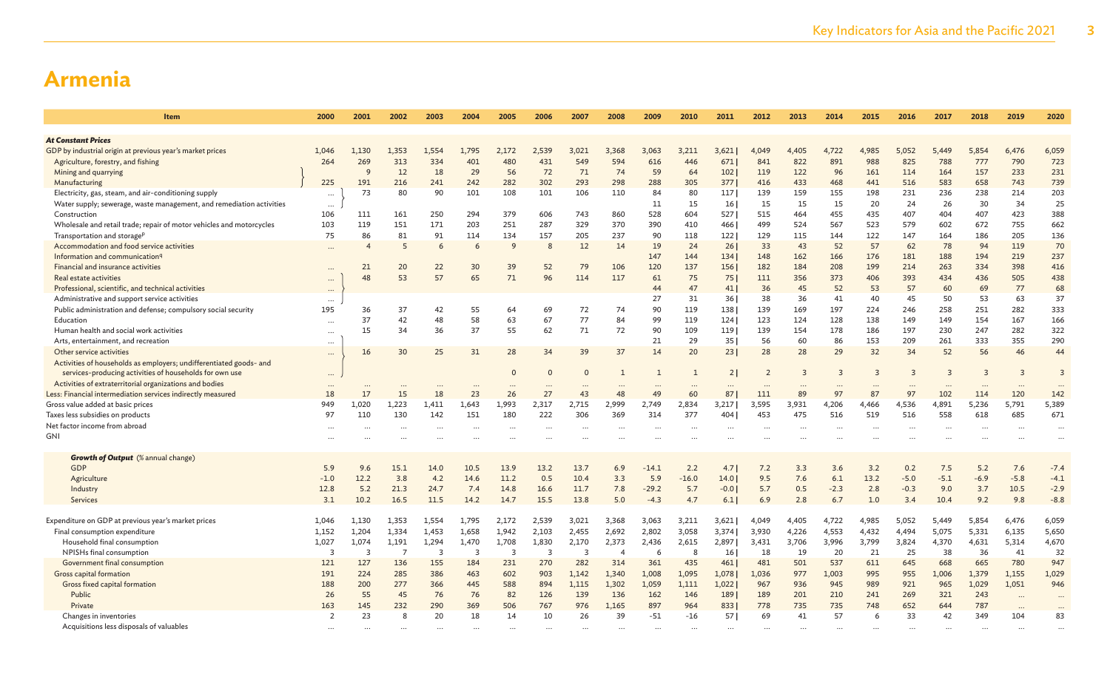| <b>Item</b>                                                          | 2000                    | 2001           | 2002           | 2003           | 2004           | 2005           | 2006                    | 2007     | 2008           | 2009     | 2010         | 2011   | 2012  | 2013     | 2014           | 2015  | 2016     | 2017           | 2018      | 2019           | 2020           |
|----------------------------------------------------------------------|-------------------------|----------------|----------------|----------------|----------------|----------------|-------------------------|----------|----------------|----------|--------------|--------|-------|----------|----------------|-------|----------|----------------|-----------|----------------|----------------|
| <b>At Constant Prices</b>                                            |                         |                |                |                |                |                |                         |          |                |          |              |        |       |          |                |       |          |                |           |                |                |
| GDP by industrial origin at previous year's market prices            | 1,046                   | 1.130          | 1,353          | 1,554          | 1,795          | 2,172          | 2,539                   | 3.021    | 3,368          | 3,063    | 3.211        | 3,621  | 4,049 | 4,405    | 4,722          | 4,985 | 5,052    | 5,449          | 5,854     | 6,476          | 6,059          |
| Agriculture, forestry, and fishing                                   | 264                     | 269            | 313            | 334            | 401            | 480            | 431                     | 549      | 594            | 616      | 446          | 671    | 841   | 822      | 891            | 988   | 825      | 788            | 777       | 790            | 723            |
| Mining and quarrying                                                 |                         | $\mathsf{q}$   | 12             | 18             | 29             | 56             | 72                      | 71       | 74             | 59       | 64           | 102    | 119   | 122      | 96             | 161   | 114      | 164            | 157       | 233            | 231            |
| Manufacturing                                                        | 225                     | 191            | 216            | 241            | 242            | 282            | 302                     | 293      | 298            | 288      | 305          | 377    | 416   | 433      | 468            | 441   | 516      | 583            | 658       | 743            | 739            |
| Electricity, gas, steam, and air-conditioning supply                 |                         | 73             | 80             | 90             | 101            | 108            | 101                     | 106      | 110            | 84       | 80           | 117    | 139   | 159      | 155            | 198   | 231      | 236            | 238       | 214            | 203            |
| Water supply; sewerage, waste management, and remediation activities | $\cdots$<br>$\cdots$    |                |                |                |                |                |                         |          |                | 11       | 15           | 16 I   | 15    | 15       | 15             | 20    | 24       | 26             | 30        | 34             | 25             |
| Construction                                                         | 106                     | 111            | 161            | 250            | 294            | 379            | 606                     | 743      | 860            | 528      | 604          | 527    | 515   | 464      | 455            | 435   | 407      | 404            | 407       | 423            | 388            |
| Wholesale and retail trade; repair of motor vehicles and motorcycles | 103                     | 119            | 151            | 171            | 203            | 251            | 287                     | 329      | 370            | 390      | 410          | 466    | 499   | 524      | 567            | 523   | 579      | 602            | 672       | 755            | 662            |
| Transportation and storage <sup>p</sup>                              | 75                      | 86             | 81             | 91             | 114            | 134            | 157                     | 205      | 237            | 90       | 118          | 1221   | 129   | 115      | 144            | 122   | 147      | 164            | 186       | 205            | 136            |
| Accommodation and food service activities                            | $\cdots$                | $\overline{4}$ | 5              | 6              | 6              | 9              | 8                       | 12       | 14             | 19       | 24           | 261    | 33    | 43       | 52             | 57    | 62       | 78             | 94        | 119            | 70             |
| Information and communication <sup>q</sup>                           |                         |                |                |                |                |                |                         |          |                | 147      | 144          | 134    | 148   | 162      | 166            | 176   | 181      | 188            | 194       | 219            | 237            |
| Financial and insurance activities                                   |                         | 21             | 20             | 22             | 30             | 39             | 52                      | 79       | 106            | 120      | 137          | 156    | 182   | 184      | 208            | 199   | 214      | 263            | 334       | 398            | 416            |
| Real estate activities                                               |                         | 48             | 53             | 57             | 65             | 71             | 96                      | 114      | 117            | 61       | 75           | 751    | 111   | 356      | 373            | 406   | 393      | 434            | 436       | 505            | 438            |
| Professional, scientific, and technical activities                   | $\cdots$                |                |                |                |                |                |                         |          |                | 44       | 47           | 41     | 36    | 45       | 52             | 53    | 57       | 60             | 69        | 77             | 68             |
| Administrative and support service activities                        |                         |                |                |                |                |                |                         |          |                | 27       | 31           | 36     | 38    | 36       | 41             | 40    | 45       | 50             | 53        | 63             | 37             |
| Public administration and defense; compulsory social security        | $\cdots$<br>195         | 36             | 37             | 42             | 55             | 64             | 69                      | 72       | 74             | 90       | 119          | 138    | 139   | 169      | 197            | 224   | 246      | 258            | 251       | 282            | 333            |
| Education                                                            | $\cdots$                | 37             | 42             | 48             | 58             | 63             | 67                      | 77       | 84             | 99       | 119          | 124    | 123   | 124      | 128            | 138   | 149      | 149            | 154       | 167            | 166            |
| Human health and social work activities                              | $\cdots$                | 15             | 34             | 36             | 37             | 55             | 62                      | 71       | 72             | 90       | 109          | 119    | 139   | 154      | 178            | 186   | 197      | 230            | 247       | 282            | 322            |
| Arts, entertainment, and recreation                                  |                         |                |                |                |                |                |                         |          |                | 21       | 29           | 35     | 56    | 60       | 86             | 153   | 209      | 261            | 333       | 355            | 290            |
| Other service activities                                             | $\cdots$<br>$\cdots$    | 16             | 30             | 25             | 31             | 28             | 34                      | 39       | 37             | 14       | 20           | 23     | 28    | 28       | 29             | 32    | 34       | 52             | 56        | 46             | 44             |
| Activities of households as employers; undifferentiated goods- and   |                         |                |                |                |                |                |                         |          |                |          |              |        |       |          |                |       |          |                |           |                |                |
| services-producing activities of households for own use              | $\cdots$                |                |                |                |                | $\Omega$       | $\Omega$                | $\Omega$ | $\mathbf{1}$   |          | $\mathbf{1}$ | 21     | 2     | 3        | $\overline{3}$ | 3     | 3        | $\overline{3}$ |           | $\overline{3}$ | $\overline{3}$ |
| Activities of extraterritorial organizations and bodies              |                         |                |                |                |                |                |                         |          |                |          |              |        |       |          |                |       |          |                |           |                |                |
| Less: Financial intermediation services indirectly measured          | 18                      | 17             | 15             | 18             | 23             | 26             | 27                      | 43       | 48             | 49       | 60           | 87     | 111   | 89       | 97             | 87    | 97       | 102            | 114       | 120            | 142            |
| Gross value added at basic prices                                    | 949                     | 1.020          | 1,223          | 1,411          | 1.643          | 1.993          | 2,317                   | 2,715    | 2.999          | 2,749    | 2,834        | 3,217  | 3,595 | 3,931    | 4,206          | 4,466 | 4,536    | 4,891          | 5,236     | 5.791          | 5,389          |
| Taxes less subsidies on products                                     | 97                      | 110            | 130            | 142            | 151            | 180            | 222                     | 306      | 369            | 314      | 377          | 404 l  | 453   | 475      | 516            | 519   | 516      | 558            | 618       | 685            | 671            |
| Net factor income from abroad                                        |                         | $\cdots$       |                |                |                |                |                         |          |                | $\cdots$ |              |        |       | $\ddots$ | $\cdots$       |       | $\cdots$ |                | $\ddotsc$ |                |                |
| GNI                                                                  |                         |                |                |                |                |                |                         |          |                |          |              |        |       |          |                |       |          |                |           |                |                |
|                                                                      |                         |                |                |                |                |                |                         |          |                |          |              |        |       |          |                |       |          |                |           |                |                |
| <b>Growth of Output</b> (% annual change)                            |                         |                |                |                |                |                |                         |          |                |          |              |        |       |          |                |       |          |                |           |                |                |
| <b>GDP</b>                                                           | 5.9                     | 9.6            | 15.1           | 14.0           | 10.5           | 13.9           | 13.2                    | 13.7     | 6.9            | $-14.1$  | 2.2          | 4.7    | 7.2   | 3.3      | 3.6            | 3.2   | 0.2      | 7.5            | 5.2       | 7.6            | $-7.4$         |
| Agriculture                                                          | $-1.0$                  | 12.2           | 3.8            | 4.2            | 14.6           | 11.2           | 0.5                     | 10.4     | 3.3            | 5.9      | $-16.0$      | 14.0   | 9.5   | 7.6      | 6.1            | 13.2  | $-5.0$   | $-5.1$         | $-6.9$    | $-5.8$         | $-4.1$         |
| Industry                                                             | 12.8                    | 5.2            | 21.3           | 24.7           | 7.4            | 14.8           | 16.6                    | 11.7     | 7.8            | $-29.2$  | 5.7          | $-0.0$ | 5.7   | 0.5      | $-2.3$         | 2.8   | $-0.3$   | 9.0            | 3.7       | 10.5           | $-2.9$         |
| Services                                                             | 3.1                     | 10.2           | 16.5           | 11.5           | 14.2           | 14.7           | 15.5                    | 13.8     | 5.0            | $-4.3$   | 4.7          | 6.1    | 6.9   | 2.8      | 6.7            | 1.0   | 3.4      | 10.4           | 9.2       | 9.8            | $-8.8$         |
|                                                                      |                         |                |                |                |                |                |                         |          |                |          |              |        |       |          |                |       |          |                |           |                |                |
| Expenditure on GDP at previous year's market prices                  | 1,046                   | 1,130          | 1,353          | 1,554          | 1,795          | 2,172          | 2,539                   | 3,021    | 3,368          | 3,063    | 3,211        | 3,621  | 4,049 | 4,405    | 4,722          | 4,985 | 5,052    | 5,449          | 5,854     | 6,476          | 6,059          |
| Final consumption expenditure                                        | 1,152                   | 1,204          | 1,334          | 1,453          | 1,658          | 1,942          | 2,103                   | 2,455    | 2,692          | 2,802    | 3,058        | 3,374  | 3,930 | 4,226    | 4,553          | 4,432 | 4,494    | 5,075          | 5,331     | 6,135          | 5,650          |
| Household final consumption                                          | 1,027                   | 1,074          | 1,191          | 1,294          | 1,470          | 1,708          | 1,830                   | 2,170    | 2,373          | 2,436    | 2,615        | 2,897  | 3,431 | 3,706    | 3,996          | 3,799 | 3,824    | 4,370          | 4,631     | 5,314          | 4,670          |
| NPISHs final consumption                                             | $\overline{\mathbf{3}}$ | $\overline{3}$ | $\overline{7}$ | $\overline{3}$ | $\overline{3}$ | $\overline{3}$ | $\overline{\mathbf{3}}$ | 3        | $\overline{4}$ | 6        | 8            | 16     | 18    | 19       | 20             | 21    | 25       | 38             | 36        | 41             | 32             |
| Government final consumption                                         | 121                     | 127            | 136            | 155            | 184            | 231            | 270                     | 282      | 314            | 361      | 435          | 461    | 481   | 501      | 537            | 611   | 645      | 668            | 665       | 780            | 947            |
| Gross capital formation                                              | 191                     | 224            | 285            | 386            | 463            | 602            | 903                     | 1,142    | 1,340          | 1,008    | 1,095        | 1,078  | 1,036 | 977      | 1,003          | 995   | 955      | 1,006          | 1,379     | 1,155          | 1,029          |
| Gross fixed capital formation                                        | 188                     | 200            | 277            | 366            | 445            | 588            | 894                     | 1,115    | 1,302          | 1,059    | 1,111        | 1,022  | 967   | 936      | 945            | 989   | 921      | 965            | 1,029     | 1,051          | 946            |
| Public                                                               | 26                      | 55             | 45             | 76             | 76             | 82             | 126                     | 139      | 136            | 162      | 146          | 189    | 189   | 201      | 210            | 241   | 269      | 321            | 243       | $\cdots$       | $\cdots$       |
| Private                                                              | 163                     | 145            | 232            | 290            | 369            | 506            | 767                     | 976      | 1,165          | 897      | 964          | 833    | 778   | 735      | 735            | 748   | 652      | 644            | 787       |                | $\cdots$       |
| Changes in inventories                                               | $\overline{2}$          | 23             | 8              | 20             | 18             | 14             | 10                      | 26       | 39             | $-51$    | $-16$        | 57 I   | 69    | 41       | 57             | 6     | 33       | 42             | 349       | 104            | 83             |
| Acquisitions less disposals of valuables                             |                         |                |                |                |                |                |                         |          |                |          |              |        |       |          |                |       |          |                |           |                |                |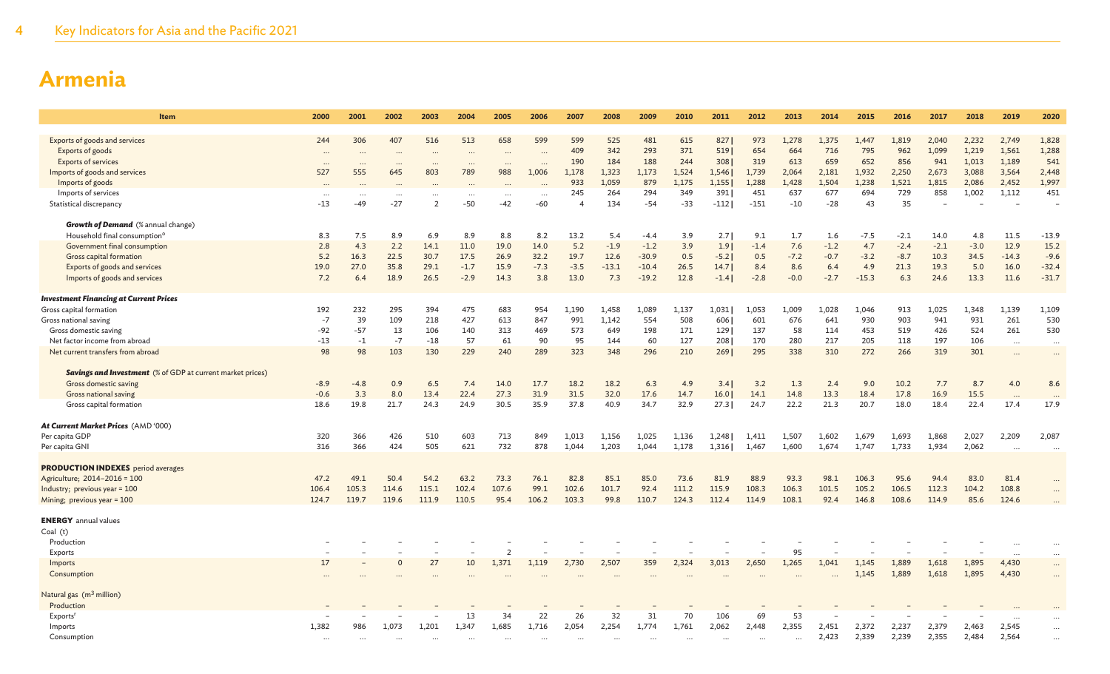| Item                                                                                              | 2000      | 2001                     | 2002                 | 2003      | 2004              | 2005              | 2006      | 2007                               | 2008       | 2009         | 2010         | 2011          | 2012          | 2013         | 2014         | 2015      | 2016      | 2017   | 2018   | 2019     | 2020                            |
|---------------------------------------------------------------------------------------------------|-----------|--------------------------|----------------------|-----------|-------------------|-------------------|-----------|------------------------------------|------------|--------------|--------------|---------------|---------------|--------------|--------------|-----------|-----------|--------|--------|----------|---------------------------------|
|                                                                                                   |           |                          |                      |           |                   |                   |           |                                    |            |              |              |               |               |              |              |           |           |        |        |          |                                 |
| Exports of goods and services                                                                     | 244       | 306                      | 407                  | 516       | 513               | 658               | 599       | 599                                | 525        | 481          | 615          | 827           | 973           | 1,278        | 1,375        | 1,447     | 1,819     | 2,040  | 2,232  | 2,749    | 1,828                           |
| Exports of goods                                                                                  | $\cdots$  | $\cdots$                 | $\cdots$             | $\ddotsc$ | $\cdots$          | $\ddotsc$         |           | 409                                | 342        | 293          | 371          | 519           | 654           | 664          | 716          | 795       | 962       | 1,099  | 1,219  | 1,561    | 1,288                           |
| <b>Exports of services</b>                                                                        | $\ddotsc$ | $\overline{\phantom{a}}$ | $\ddot{\phantom{a}}$ |           | $\cdots$          |                   | $\ddotsc$ | 190                                | 184        | 188          | 244          | 308           | 319           | 613          | 659          | 652       | 856       | 941    | 1,013  | 1,189    | 541                             |
| Imports of goods and services                                                                     | 527       | 555                      | 645                  | 803       | 789               | 988               | 1,006     | 1,178                              | 1,323      | 1,173        | 1,524        | 1,546         | 1,739         | 2,064        | 2,181        | 1,932     | 2,250     | 2,673  | 3,088  | 3,564    | 2,448                           |
| Imports of goods                                                                                  |           |                          |                      |           |                   |                   |           | 933                                | 1,059      | 879          | 1,175        | 1,155         | 1,288         | 1,428        | 1,504        | 1,238     | 1,521     | 1,815  | 2,086  | 2,452    | 1,997                           |
| Imports of services                                                                               | <br>$-13$ | <br>$-49$                | $\cdots$<br>$-27$    | <br>2     | $\cdots$<br>$-50$ | $\cdots$<br>$-42$ | <br>-60   | 245<br>$\boldsymbol{\vartriangle}$ | 264<br>134 | 294<br>$-54$ | 349<br>$-33$ | 391<br>$-112$ | 451<br>$-151$ | 637<br>$-10$ | 677<br>$-28$ | 694<br>43 | 729<br>35 | 858    | 1,002  | 1,112    | 451<br>$\overline{\phantom{a}}$ |
| Statistical discrepancy                                                                           |           |                          |                      |           |                   |                   |           |                                    |            |              |              |               |               |              |              |           |           |        |        |          |                                 |
| <b>Growth of Demand</b> (% annual change)                                                         |           |                          |                      |           |                   |                   |           |                                    |            |              |              |               |               |              |              |           |           |        |        |          |                                 |
| Household final consumption <sup>o</sup>                                                          | 8.3       | 7.5                      | 8.9                  | 6.9       | 8.9               | 8.8               | 8.2       | 13.2                               | 5.4        | $-4.4$       | 3.9          | 2.7           | 9.1           | 1.7          | 1.6          | $-7.5$    | $-2.1$    | 14.0   | 4.8    | 11.5     | $-13.9$                         |
| Government final consumption                                                                      | 2.8       | 4.3                      | 2.2                  | 14.1      | 11.0              | 19.0              | 14.0      | 5.2                                | $-1.9$     | $-1.2$       | 3.9          | 1.9           | $-1.4$        | 7.6          | $-1.2$       | 4.7       | $-2.4$    | $-2.1$ | $-3.0$ | 12.9     | 15.2                            |
| Gross capital formation                                                                           | 5.2       | 16.3                     | 22.5                 | 30.7      | 17.5              | 26.9              | 32.2      | 19.7                               | 12.6       | $-30.9$      | 0.5          | $-5.2$        | 0.5           | $-7.2$       | $-0.7$       | $-3.2$    | $-8.7$    | 10.3   | 34.5   | $-14.3$  | $-9.6$                          |
| Exports of goods and services                                                                     | 19.0      | 27.0                     | 35.8                 | 29.1      | $-1.7$            | 15.9              | $-7.3$    | $-3.5$                             | $-13.1$    | $-10.4$      | 26.5         | 14.7          | 8.4           | 8.6          | 6.4          | 4.9       | 21.3      | 19.3   | 5.0    | 16.0     | $-32.4$                         |
| Imports of goods and services                                                                     | 7.2       | 6.4                      | 18.9                 | 26.5      | $-2.9$            | 14.3              | 3.8       | 13.0                               | 7.3        | $-19.2$      | 12.8         | $-1.4$        | $-2.8$        | $-0.0$       | $-2.7$       | $-15.3$   | 6.3       | 24.6   | 13.3   | 11.6     | $-31.7$                         |
|                                                                                                   |           |                          |                      |           |                   |                   |           |                                    |            |              |              |               |               |              |              |           |           |        |        |          |                                 |
| <b>Investment Financing at Current Prices</b>                                                     |           |                          |                      |           |                   |                   |           |                                    |            |              |              |               |               |              |              |           |           |        |        |          |                                 |
| Gross capital formation                                                                           | 192       | 232                      | 295                  | 394       | 475               | 683               | 954       | 1.190                              | 1,458      | 1,089        | 1,137        | 1,031         | 1,053         | 1,009        | 1,028        | 1,046     | 913       | 1,025  | 1,348  | 1,139    | 1,109                           |
| Gross national saving                                                                             | $-7$      | 39                       | 109                  | 218       | 427               | 613               | 847       | 991                                | 1,142      | 554          | 508          | 606           | 601           | 676          | 641          | 930       | 903       | 941    | 931    | 261      | 530                             |
| Gross domestic saving                                                                             | $-92$     | $-57$                    | 13                   | 106       | 140               | 313               | 469       | 573                                | 649        | 198          | 171          | 129           | 137           | 58           | 114          | 453       | 519       | 426    | 524    | 261      | 530                             |
| Net factor income from abroad                                                                     | $-13$     | $-1$                     | $-7$                 | $-18$     | 57                | 61                | 90        | 95                                 | 144        | 60           | 127          | 208           | 170           | 280          | 217          | 205       | 118       | 197    | 106    | $\cdots$ | $\cdots$                        |
| Net current transfers from abroad                                                                 | 98        | 98                       | 103                  | 130       | 229               | 240               | 289       | 323                                | 348        | 296          | 210          | 269           | 295           | 338          | 310          | 272       | 266       | 319    | 301    |          | $\cdots$                        |
|                                                                                                   |           |                          |                      |           |                   |                   |           |                                    |            |              |              |               |               |              |              |           |           |        |        |          |                                 |
| <b>Savings and Investment</b> (% of GDP at current market prices)<br><b>Gross domestic saving</b> | $-8.9$    | $-4.8$                   | 0.9                  | 6.5       | 7.4               | 14.0              | 17.7      | 18.2                               | 18.2       | 6.3          | 4.9          | 3.4           | 3.2           | 1.3          | 2.4          | 9.0       | 10.2      | 7.7    | 8.7    | 4.0      | 8.6                             |
| Gross national saving                                                                             | $-0.6$    | 3.3                      | 8.0                  | 13.4      | 22.4              | 27.3              | 31.9      | 31.5                               | 32.0       | 17.6         | 14.7         | 16.0          | 14.1          | 14.8         | 13.3         | 18.4      | 17.8      | 16.9   | 15.5   |          |                                 |
| Gross capital formation                                                                           | 18.6      | 19.8                     | 21.7                 | 24.3      | 24.9              | 30.5              | 35.9      | 37.8                               | 40.9       | 34.7         | 32.9         | 27.3          | 24.7          | 22.2         | 21.3         | 20.7      | 18.0      | 18.4   | 22.4   | 17.4     | $\ddots$<br>17.9                |
|                                                                                                   |           |                          |                      |           |                   |                   |           |                                    |            |              |              |               |               |              |              |           |           |        |        |          |                                 |
| At Current Market Prices (AMD '000)                                                               |           |                          |                      |           |                   |                   |           |                                    |            |              |              |               |               |              |              |           |           |        |        |          |                                 |
| Per capita GDP                                                                                    | 320       | 366                      | 426                  | 510       | 603               | 713               | 849       | 1,013                              | 1,156      | 1,025        | 1,136        | 1,248         | 1,411         | 1,507        | 1,602        | 1,679     | 1,693     | 1,868  | 2,027  | 2,209    | 2,087                           |
| Per capita GNI                                                                                    | 316       | 366                      | 424                  | 505       | 621               | 732               | 878       | 1,044                              | 1,203      | 1,044        | 1,178        | 1,316         | 1,467         | 1,600        | 1,674        | 1,747     | 1,733     | 1,934  | 2,062  |          | $\ddotsc$                       |
|                                                                                                   |           |                          |                      |           |                   |                   |           |                                    |            |              |              |               |               |              |              |           |           |        |        |          |                                 |
| <b>PRODUCTION INDEXES</b> period averages                                                         |           |                          |                      |           |                   |                   |           |                                    |            |              |              |               |               |              |              |           |           |        |        |          |                                 |
| Agriculture; 2014-2016 = 100                                                                      | 47.2      | 49.1                     | 50.4                 | 54.2      | 63.2              | 73.3              | 76.1      | 82.8                               | 85.1       | 85.0         | 73.6         | 81.9          | 88.9          | 93.3         | 98.1         | 106.3     | 95.6      | 94.4   | 83.0   | 81.4     |                                 |
| Industry; previous year = 100                                                                     | 106.4     | 105.3                    | 114.6                | 115.1     | 102.4             | 107.6             | 99.1      | 102.6                              | 101.7      | 92.4         | 111.2        | 115.9         | 108.3         | 106.3        | 101.5        | 105.2     | 106.5     | 112.3  | 104.2  | 108.8    |                                 |
| Mining; previous year = 100                                                                       | 124.7     | 119.7                    | 119.6                | 111.9     | 110.5             | 95.4              | 106.2     | 103.3                              | 99.8       | 110.7        | 124.3        | 112.4         | 114.9         | 108.1        | 92.4         | 146.8     | 108.6     | 114.9  | 85.6   | 124.6    |                                 |
| <b>ENERGY</b> annual values                                                                       |           |                          |                      |           |                   |                   |           |                                    |            |              |              |               |               |              |              |           |           |        |        |          |                                 |
| Coal(t)                                                                                           |           |                          |                      |           |                   |                   |           |                                    |            |              |              |               |               |              |              |           |           |        |        |          |                                 |
| Production                                                                                        |           |                          |                      |           |                   |                   |           |                                    |            |              |              |               |               |              |              |           |           |        |        |          |                                 |
| Exports                                                                                           |           |                          |                      |           |                   | -2                |           |                                    |            |              |              |               |               | 95           |              |           |           |        |        |          |                                 |
| Imports                                                                                           | 17        |                          |                      | 27        | 10                | 1,371             | 1,119     | 2,730                              | 2,507      | 359          | 2,324        | 3,013         | 2,650         | 1,265        | 1.041        | 1,145     | 1,889     | 1,618  | 1,895  | 4,430    | $\cdots$                        |
| Consumption                                                                                       |           |                          |                      |           |                   |                   |           |                                    |            |              |              |               |               |              | $\ddotsc$    | 1,145     | 1,889     | 1,618  | 1,895  | 4,430    | $\ddots$                        |
|                                                                                                   |           |                          |                      |           |                   |                   |           |                                    |            |              |              |               |               |              |              |           |           |        |        |          |                                 |
| Natural gas (m <sup>3</sup> million)                                                              |           |                          |                      |           |                   |                   |           |                                    |            |              |              |               |               |              |              |           |           |        |        |          |                                 |
| Production                                                                                        |           |                          |                      |           |                   |                   |           |                                    |            |              |              |               |               |              |              |           |           |        |        |          |                                 |
| Exports <sup>r</sup>                                                                              |           |                          |                      |           | 13                | 34                | 22        | 26                                 | 32         | 31           | 70           | 106           | 69            | 53           |              |           |           |        |        |          |                                 |
| Imports                                                                                           | 1,382     | 986                      | 1,073                | 1,201     | 1,347             | 1,685             | 1,716     | 2,054                              | 2,254      | 1,774        | 1,761        | 2,062         | 2,448         | 2,355        | 2,451        | 2,372     | 2,237     | 2,379  | 2,463  | 2,545    | $\ddots$                        |
| Consumption                                                                                       |           |                          |                      |           |                   |                   |           |                                    |            |              |              |               | $\cdots$      | $\ddotsc$    | 2,423        | 2,339     | 2,239     | 2,355  | 2,484  | 2,564    | $\ddotsc$                       |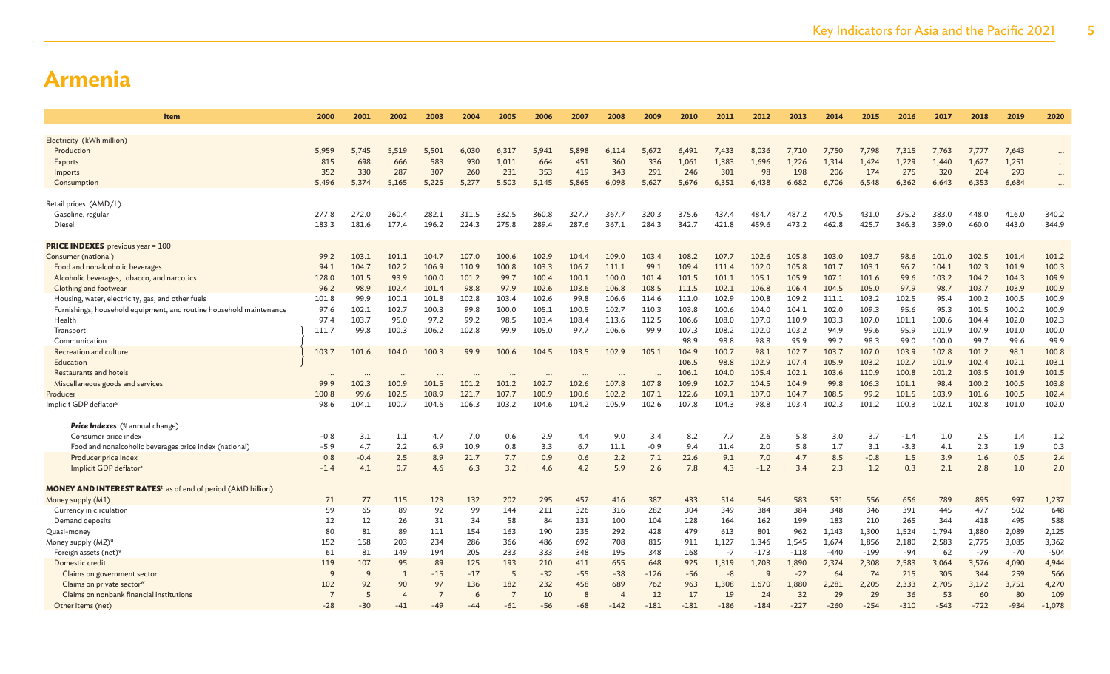| Item                                                                          | 2000           | 2001   | 2002           | 2003           | 2004  | 2005       | 2006  | 2007  | 2008           | 2009   | 2010   | 2011   | 2012   | 2013   | 2014   | 2015   | 2016   | 2017       | 2018   | 2019       | 2020     |
|-------------------------------------------------------------------------------|----------------|--------|----------------|----------------|-------|------------|-------|-------|----------------|--------|--------|--------|--------|--------|--------|--------|--------|------------|--------|------------|----------|
|                                                                               |                |        |                |                |       |            |       |       |                |        |        |        |        |        |        |        |        |            |        |            |          |
| Electricity (kWh million)                                                     |                |        |                |                |       |            |       |       |                |        |        |        |        |        |        |        |        |            |        |            |          |
| Production                                                                    | 5,959          | 5.745  | 5,519          | 5,501          | 6,030 | 6,317      | 5,941 | 5.898 | 6.114          | 5,672  | 6,491  | 7,433  | 8,036  | 7,710  | 7.750  | 7,798  | 7,315  | 7,763      | 7,777  | 7,643      | $\cdots$ |
| Exports                                                                       | 815            | 698    | 666            | 583            | 930   | 1,011      | 664   | 451   | 360            | 336    | 1,061  | 1,383  | 1,696  | 1,226  | 1,314  | 1,424  | 1,229  | 1,440      | 1,627  | 1,251      |          |
| Imports                                                                       | 352            | 330    | 287            | 307            | 260   | 231        | 353   | 419   | 343            | 291    | 246    | 301    | 98     | 198    | 206    | 174    | 275    | 320        | 204    | 293        | $\cdots$ |
| Consumption                                                                   | 5,496          | 5,374  | 5,165          | 5,225          | 5,277 | 5,503      | 5,145 | 5,865 | 6,098          | 5,627  | 5,676  | 6,351  | 6,438  | 6,682  | 6,706  | 6,548  | 6,362  | 6,643      | 6,353  | 6,684      |          |
| Retail prices (AMD/L)                                                         |                |        |                |                |       |            |       |       |                |        |        |        |        |        |        |        |        |            |        |            |          |
| Gasoline, regular                                                             | 277.8          | 272.0  | 260.4          | 282.1          | 311.5 | 332.5      | 360.8 | 327.7 | 367.7          | 320.3  | 375.6  | 437.4  | 484.7  | 487.2  | 470.5  | 431.0  | 375.2  | 383.0      | 448.0  | 416.0      | 340.2    |
| Diesel                                                                        | 183.3          | 181.6  | 177.4          | 196.2          | 224.3 | 275.8      | 289.4 | 287.6 | 367.1          | 284.3  | 342.7  | 421.8  | 459.6  | 473.2  | 462.8  | 425.7  | 346.3  | 359.0      | 460.0  | 443.0      | 344.9    |
| <b>PRICE INDEXES</b> previous year = 100                                      |                |        |                |                |       |            |       |       |                |        |        |        |        |        |        |        |        |            |        |            |          |
| Consumer (national)                                                           | 99.2           | 103.1  | 101.1          | 104.7          | 107.0 | 100.6      | 102.9 | 104.4 | 109.0          | 103.4  | 108.2  | 107.7  | 102.6  | 105.8  | 103.0  | 103.7  | 98.6   | 101.0      | 102.5  | 101.4      | 101.2    |
| Food and nonalcoholic beverages                                               | 94.1           | 104.7  | 102.2          | 106.9          | 110.9 | 100.8      | 103.3 | 106.7 | 111.1          | 99.1   | 109.4  | 111.4  | 102.0  | 105.8  | 101.7  | 103.1  | 96.7   | 104.1      | 102.3  | 101.9      | 100.3    |
| Alcoholic beverages, tobacco, and narcotics                                   | 128.0          | 101.5  | 93.9           | 100.0          | 101.2 | 99.7       | 100.4 | 100.1 | 100.0          | 101.4  | 101.5  | 101.1  | 105.1  | 105.9  | 107.1  | 101.6  | 99.6   | 103.2      | 104.2  | 104.3      | 109.9    |
| Clothing and footwear                                                         | 96.2           | 98.9   | 102.4          | 101.4          | 98.8  | 97.9       | 102.6 | 103.6 | 106.8          | 108.5  | 111.5  | 102.1  | 106.8  | 106.4  | 104.5  | 105.0  | 97.9   | 98.7       | 103.7  | 103.9      | 100.9    |
| Housing, water, electricity, gas, and other fuels                             | 101.8          | 99.9   | 100.1          | 101.8          | 102.8 | 103.4      | 102.6 | 99.8  | 106.6          | 114.6  | 111.0  | 102.9  | 100.8  | 109.2  | 111.1  | 103.2  | 102.5  | 95.4       | 100.2  | 100.5      | 100.9    |
| Furnishings, household equipment, and routine household maintenance           | 97.6           | 102.1  | 102.7          | 100.3          | 99.8  | 100.0      | 105.1 | 100.5 | 102.7          | 110.3  | 103.8  | 100.6  | 104.0  | 104.1  | 102.0  | 109.3  | 95.6   | 95.3       | 101.5  | 100.2      | 100.9    |
| Health                                                                        | 97.4           | 103.7  | 95.0           | 97.2           | 99.2  | 98.5       | 103.4 | 108.4 | 113.6          | 112.5  | 106.6  | 108.0  | 107.0  | 110.9  | 103.3  | 107.0  | 101.1  | 100.6      | 104.4  | 102.0      | 102.3    |
| Transport                                                                     | 111.7          | 99.8   | 100.3          | 106.2          | 102.8 | 99.9       | 105.0 | 97.7  | 106.6          | 99.9   | 107.3  | 108.2  | 102.0  | 103.2  | 94.9   | 99.6   | 95.9   | 101.9      | 107.9  | 101.0      | 100.0    |
| Communication                                                                 |                |        |                |                |       |            |       |       |                |        | 98.9   | 98.8   | 98.8   | 95.9   | 99.2   | 98.3   | 99.0   | 100.0      | 99.7   | 99.6       | 99.9     |
| Recreation and culture                                                        | 103.7          | 101.6  | 104.0          | 100.3          | 99.9  | 100.6      | 104.5 | 103.5 | 102.9          | 105.1  | 104.9  | 100.7  | 98.1   | 102.7  | 103.7  | 107.0  | 103.9  | 102.8      | 101.2  | 98.1       | 100.8    |
| Education                                                                     |                |        |                |                |       |            |       |       |                |        | 106.5  | 98.8   | 102.9  | 107.4  | 105.9  | 103.2  | 102.7  | 101.9      | 102.4  | 102.1      | 103.1    |
| Restaurants and hotels                                                        |                |        |                |                |       |            |       |       |                |        | 106.1  | 104.0  | 105.4  | 102.1  | 103.6  | 110.9  | 100.8  | 101.2      | 103.5  | 101.9      | 101.5    |
| Miscellaneous goods and services                                              | 99.9           | 102.3  | 100.9          | 101.5          | 101.2 | 101.2      | 102.7 | 102.6 | 107.8          | 107.8  | 109.9  | 102.7  | 104.5  | 104.9  | 99.8   | 106.3  | 101.1  | 98.4       | 100.2  | 100.5      | 103.8    |
| Producer                                                                      | 100.8          | 99.6   | 102.5          | 108.9          | 121.7 | 107.7      | 100.9 | 100.6 | 102.2          | 107.1  | 122.6  | 109.1  | 107.0  | 104.7  | 108.5  | 99.2   | 101.5  | 103.9      | 101.6  | 100.5      | 102.4    |
| Implicit GDP deflator <sup>s</sup>                                            | 98.6           | 104.1  | 100.7          | 104.6          | 106.3 | 103.2      | 104.6 | 104.2 | 105.9          | 102.6  | 107.8  | 104.3  | 98.8   | 103.4  | 102.3  | 101.2  | 100.3  | 102.1      | 102.8  | 101.0      | 102.0    |
|                                                                               |                |        |                |                |       |            |       |       |                |        |        |        |        |        |        |        |        |            |        |            |          |
| <b>Price Indexes</b> (% annual change)<br>Consumer price index                | $-0.8$         | 3.1    | 1.1            | 4.7            | 7.0   |            | 2.9   | 4.4   | 9.0            | 3.4    | 8.2    | 7.7    | 2.6    | 5.8    | 3.0    | 3.7    | $-1.4$ |            | 2.5    |            | 1.2      |
| Food and nonalcoholic beverages price index (national)                        | $-5.9$         | 4.7    | 2.2            | 6.9            | 10.9  | 0.6<br>0.8 | 3.3   | 6.7   | 11.1           | $-0.9$ | 9.4    | 11.4   | 2.0    | 5.8    | 1.7    | 3.1    | $-3.3$ | 1.0<br>4.1 | 2.3    | 1.4<br>1.9 | 0.3      |
| Producer price index                                                          | 0.8            | $-0.4$ | 2.5            | 8.9            | 21.7  | 7.7        | 0.9   | 0.6   | 2.2            | 7.1    | 22.6   | 9.1    | 7.0    | 4.7    | 8.5    | $-0.8$ | 1.5    | 3.9        | 1.6    | 0.5        | 2.4      |
| Implicit GDP deflator <sup>s</sup>                                            | $-1.4$         | 4.1    | 0.7            | 4.6            | 6.3   | 3.2        | 4.6   | 4.2   | 5.9            | 2.6    | 7.8    | 4.3    | $-1.2$ | 3.4    | 2.3    | 1.2    | 0.3    | 2.1        | 2.8    | 1.0        | 2.0      |
|                                                                               |                |        |                |                |       |            |       |       |                |        |        |        |        |        |        |        |        |            |        |            |          |
| <b>MONEY AND INTEREST RATES<sup>t</sup> as of end of period (AMD billion)</b> |                |        |                |                |       |            |       |       |                |        |        |        |        |        |        |        |        |            |        |            |          |
| Money supply (M1)                                                             | 71             | 77     | 115            | 123            | 132   | 202        | 295   | 457   | 416            | 387    | 433    | 514    | 546    | 583    | 531    | 556    | 656    | 789        | 895    | 997        | 1,237    |
| Currency in circulation                                                       | 59             | 65     | 89             | 92             | 99    | 144        | 211   | 326   | 316            | 282    | 304    | 349    | 384    | 384    | 348    | 346    | 391    | 445        | 477    | 502        | 648      |
| Demand deposits                                                               | 12             | 12     | 26             | 31             | 34    | 58         | 84    | 131   | 100            | 104    | 128    | 164    | 162    | 199    | 183    | 210    | 265    | 344        | 418    | 495        | 588      |
| Quasi-money                                                                   | 80             | 81     | 89             | 111            | 154   | 163        | 190   | 235   | 292            | 428    | 479    | 613    | 801    | 962    | 1,143  | 1,300  | 1,524  | 1,794      | 1,880  | 2,089      | 2,125    |
| Money supply $(M2)^{u}$                                                       | 152            | 158    | 203            | 234            | 286   | 366        | 486   | 692   | 708            | 815    | 911    | 1,127  | 1,346  | 1,545  | 1,674  | 1,856  | 2.180  | 2,583      | 2,775  | 3,085      | 3,362    |
| Foreign assets (net) <sup>v</sup>                                             | 61             | 81     | 149            | 194            | 205   | 233        | 333   | 348   | 195            | 348    | 168    | $-7$   | $-173$ | $-118$ | $-440$ | $-199$ | $-94$  | 62         | $-79$  | $-70$      | $-504$   |
| Domestic credit                                                               | 119            | 107    | 95             | 89             | 125   | 193        | 210   | 411   | 655            | 648    | 925    | 1,319  | 1,703  | 1,890  | 2,374  | 2,308  | 2,583  | 3,064      | 3,576  | 4,090      | 4,944    |
| Claims on government sector                                                   | 9              | 9      | 1              | $-15$          | $-17$ | 5          | $-32$ | $-55$ | $-38$          | $-126$ | $-56$  | $-8$   |        | $-22$  | 64     | 74     | 215    | 305        | 344    | 259        | 566      |
| Claims on private sector <sup>w</sup>                                         | 102            | 92     | 90             | 97             | 136   | 182        | 232   | 458   | 689            | 762    | 963    | 1,308  | 1,670  | 1,880  | 2,281  | 2,205  | 2,333  | 2,705      | 3,172  | 3,751      | 4,270    |
| Claims on nonbank financial institutions                                      | $\overline{7}$ | 5      | $\overline{4}$ | $\overline{7}$ | 6     | 7          | 10    | 8     | $\overline{4}$ | 12     | 17     | 19     | 24     | 32     | 29     | 29     | 36     | 53         | 60     | 80         | 109      |
| Other items (net)                                                             | $-28$          | $-30$  | $-41$          | $-49$          | $-44$ | $-61$      | $-56$ | $-68$ | $-142$         | $-181$ | $-181$ | $-186$ | $-184$ | $-227$ | $-260$ | $-254$ | $-310$ | $-543$     | $-722$ | $-934$     | $-1.078$ |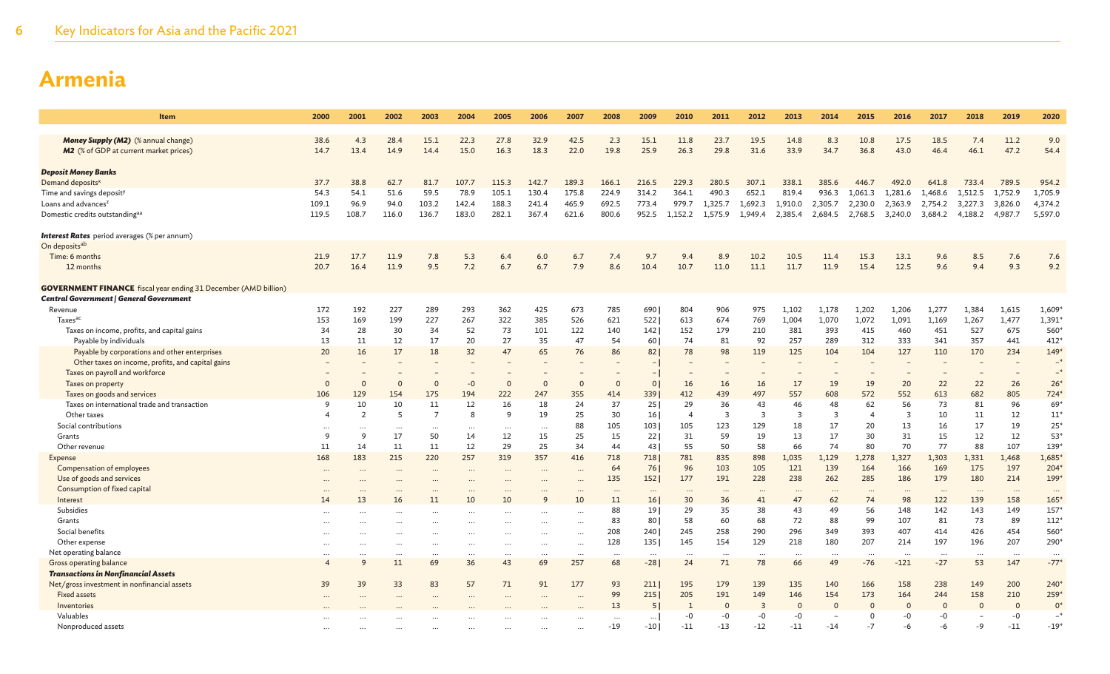| <b>Item</b>                                                                                 | 2000                     | 2001          | 2002           | 2003           | 2004         | 2005         | 2006         | 2007         | 2008        | 2009            | 2010           | 2011         | 2012           | 2013           | 2014        | 2015           | 2016         | 2017         | 2018        | 2019         | 2020                 |
|---------------------------------------------------------------------------------------------|--------------------------|---------------|----------------|----------------|--------------|--------------|--------------|--------------|-------------|-----------------|----------------|--------------|----------------|----------------|-------------|----------------|--------------|--------------|-------------|--------------|----------------------|
|                                                                                             |                          |               |                |                |              |              |              |              |             |                 |                |              |                |                |             |                |              |              |             |              |                      |
| <b>Money Supply (M2)</b> (% annual change)<br><b>M2</b> (% of GDP at current market prices) | 38.6<br>14.7             | 4.3<br>13.4   | 28.4<br>14.9   | 15.1<br>14.4   | 22.3<br>15.0 | 27.8<br>16.3 | 32.9<br>18.3 | 42.5<br>22.0 | 2.3<br>19.8 | 15.1<br>25.9    | 11.8<br>26.3   | 23.7<br>29.8 | 19.5<br>31.6   | 14.8<br>33.9   | 8.3<br>34.7 | 10.8<br>36.8   | 17.5<br>43.0 | 18.5<br>46.4 | 7.4<br>46.1 | 11.2<br>47.2 | 9.0<br>54.4          |
|                                                                                             |                          |               |                |                |              |              |              |              |             |                 |                |              |                |                |             |                |              |              |             |              |                      |
| <b>Deposit Money Banks</b>                                                                  |                          |               |                |                |              |              |              |              |             |                 |                |              |                |                |             |                |              |              |             |              |                      |
| Demand deposits <sup>x</sup>                                                                | 37.7                     | 38.8          | 62.7           | 81.7           | 107.7        | 115.3        | 142.7        | 189.3        | 166.1       | 216.5           | 229.3          | 280.5        | 307.1          | 338.1          | 385.6       | 446.7          | 492.0        | 641.8        | 733.4       | 789.5        | 954.2                |
| Time and savings deposit <sup>)</sup>                                                       | 54.3                     | 54.1          | 51.6           | 59.5           | 78.9         | 105.1        | 130.4        | 175.8        | 224.9       | 314.2           | 364.1          | 490.3        | 652.1          | 819.4          | 936.3       | 1.061.3        | 1.281.6      | 1.468.6      | 1.512.5     | 1,752.9      | 1,705.9              |
| Loans and advances <sup>z</sup>                                                             | 109.1                    | 96.9          | 94.0           | 103.2          | 142.4        | 188.3        | 241.4        | 465.9        | 692.5       | 773.4           | 979.7          | 1,325.7      | 1,692.3        | 1,910.0        | 2,305.7     | 2,230.0        | 2,363.9      | 2,754.2      | 3,227.3     | 3,826.0      | 4,374.2              |
| Domestic credits outstandingaa                                                              | 119.5                    | 108.7         | 116.0          | 136.7          | 183.0        | 282.1        | 367.4        | 621.6        | 800.6       | 952.5           | 1.152.2        | 1.575.9      | 1.949.4        | 2,385.4        | 2,684.5     | 2,768.5        | 3,240.0      | 3,684.2      | 4.188.2     | 4,987.7      | 5,597.0              |
| <b>Interest Rates</b> period averages (% per annum)                                         |                          |               |                |                |              |              |              |              |             |                 |                |              |                |                |             |                |              |              |             |              |                      |
| On deposits <sup>ab</sup>                                                                   |                          |               |                |                |              |              |              |              |             |                 |                |              |                |                |             |                |              |              |             |              |                      |
| Time: 6 months                                                                              | 21.9                     | 17.7          | 11.9           | 7.8            | 5.3          | 6.4          | 6.0          | 6.7          | 7.4         | 9.7             | 9.4            | 8.9          | 10.2           | 10.5           | 11.4        | 15.3           | 13.1         | 9.6          | 8.5         | 7.6          | 7.6                  |
| 12 months                                                                                   | 20.7                     | 16.4          | 11.9           | 9.5            | 7.2          | 6.7          | 6.7          | 7.9          | 8.6         | 10.4            | 10.7           | 11.0         | 11.1           | 11.7           | 11.9        | 15.4           | 12.5         | 9.6          | 9.4         | 9.3          | 9.2                  |
| <b>GOVERNMENT FINANCE</b> fiscal year ending 31 December (AMD billion)                      |                          |               |                |                |              |              |              |              |             |                 |                |              |                |                |             |                |              |              |             |              |                      |
| Central Government   General Government                                                     |                          |               |                |                |              |              |              |              |             |                 |                |              |                |                |             |                |              |              |             |              |                      |
| Revenue                                                                                     | 172                      | 192           | 227            | 289            | 293          | 362          | 425          | 673          | 785         | 690             | 804            | 906          | 975            | 1.102          | 1,178       | 1,202          | 1,206        | 1,277        | 1,384       | 1,615        | $1,609*$             |
| Taxes <sup>ac</sup>                                                                         | 153                      | 169           | 199            | 227            | 267          | 322          | 385          | 526          | 621         | 522             | 613            | 674          | 769            | 1,004          | 1.070       | 1,072          | 1,091        | 1,169        | 1,267       | 1,477        | 1,391                |
| Taxes on income, profits, and capital gains                                                 | 34                       | 28            | 30             | 34             | 52           | 73           | 101          | 122          | 140         | 142             | 152            | 179          | 210            | 381            | 393         | 415            | 460          | 451          | 527         | 675          | 560                  |
| Payable by individuals                                                                      | 13                       | 11            | 12             | 17             | 20           | 27           | 35           | 47           | 54          | 60              | 74             | 81           | 92             | 257            | 289         | 312            | 333          | 341          | 357         | 441          | 412                  |
| Payable by corporations and other enterprises                                               | 20                       | 16            | 17             | 18             | 32           | 47           | 65           | 76           | 86          | 82              | 78             | 98           | 119            | 125            | 104         | 104            | 127          | 110          | 170         | 234          | $149*$               |
| Other taxes on income, profits, and capital gains                                           |                          |               |                |                |              |              |              |              |             |                 |                |              |                |                |             |                |              |              |             |              | $-*$                 |
| Taxes on payroll and workforce                                                              |                          |               |                |                |              |              |              |              |             |                 |                |              |                |                |             |                |              |              |             |              | $-$ *                |
| Taxes on property                                                                           | $\Omega$                 | $\Omega$      | $\Omega$       |                | $-0$         | $\Omega$     | $\Omega$     | $\Omega$     | $\Omega$    | 0               | 16             | 16           | 16             | 17             | 19          | 19             | 20           | 22           | 22          | 26           | $26*$                |
| Taxes on goods and services                                                                 | 106                      | 129           | 154            | 175            | 194          | 222          | 247          | 355          | 414         | 339             | 412            | 439          | 497            | 557            | 608         | 572            | 552          | 613          | 682         | 805          | $724*$               |
| Taxes on international trade and transaction                                                | q                        | 10            | 10             | 11             | 12           | 16           | 18           | 24           | 37          | 25              | 29             | 36           | 43             | 46             | 48          | 62             | 56           | 73           | 81          | 96           | 69 <sup>*</sup>      |
| Other taxes                                                                                 | $\boldsymbol{\Delta}$    | 2             | 5              | $\overline{7}$ | 8            | q            | 19           | 25           | 30          | 16              | $\overline{4}$ | 3            | $\overline{3}$ | $\overline{3}$ | 3           | $\overline{4}$ | 3            | 10           | 11          | 12           | $11^*$               |
| Social contributions                                                                        | $\cdots$<br><sup>9</sup> | $\cdots$<br>9 | $\cdots$<br>17 | $\ddots$<br>50 | $\cdots$     | $\cdots$     | $\ddotsc$    | 88<br>25     | 105<br>15   | 103             | 105<br>31      | 123<br>59    | 129            | 18<br>13       | 17          | 20             | 13<br>31     | 16           | 17          | 19<br>12     | $25*$<br>$53*$       |
| Grants<br>Other revenue                                                                     | 11                       | 14            | 11             | 11             | 14<br>12     | 12<br>29     | 15<br>25     | 34           | 44          | 22<br>43        | 55             | 50           | 19<br>58       | 66             | 17<br>74    | 30<br>80       | 70           | 15<br>77     | 12<br>88    | 107          | 139 <sup>*</sup>     |
| Expense                                                                                     | 168                      | 183           | 215            | 220            | 257          | 319          | 357          | 416          | 718         | 718             | 781            | 835          | 898            | 1,035          | 1,129       | 1,278          | 1,327        | 1,303        | 1,331       | 1,468        | $1,685$ <sup>*</sup> |
| Compensation of employees                                                                   |                          |               |                |                |              |              |              |              | 64          | 76              | 96             | 103          | 105            | 121            | 139         | 164            | 166          | 169          | 175         | 197          | $204*$               |
| Use of goods and services                                                                   | $\ddotsc$                | $\ddotsc$     | $\cdots$       | $\ddotsc$      | $\cdots$     | $\ddotsc$    | $\sim$       |              | 135         | 152             | 177            | 191          | 228            | 238            | 262         | 285            | 186          | 179          | 180         | 214          | 199 <sup>*</sup>     |
| Consumption of fixed capital                                                                | $\ddotsc$                |               |                |                |              |              |              |              | $\ddotsc$   | $\cdots$        | $\ddotsc$      |              | $\ddotsc$      | $\ddotsc$      |             | $\cdots$       | $\ddotsc$    |              | $\ddotsc$   | $\cdots$     | $\cdots$             |
| Interest                                                                                    | 14                       | 13            | 16             | 11             | 10           | 10           | 9            | 10           | 11          | 16              | 30             | 36           | 41             | 47             | 62          | 74             | 98           | 122          | 139         | 158          | 165                  |
| Subsidies                                                                                   |                          |               |                |                |              |              |              |              | 88          | 19 <sup>1</sup> | 29             | 35           | 38             | 43             | 49          | 56             | 148          | 142          | 143         | 149          | 157                  |
| Grants                                                                                      |                          |               |                |                |              |              |              |              | 83          | 80              | 58             | 60           | 68             | 72             | 88          | 99             | 107          | 81           | 73          | 89           | 112"                 |
| Social benefits                                                                             |                          |               |                |                |              |              |              |              | 208         | 240             | 245            | 258          | 290            | 296            | 349         | 393            | 407          | 414          | 426         | 454          | 560*                 |
| Other expense                                                                               |                          |               |                |                |              | $\cdots$     | $\ddotsc$    |              | 128         | 135             | 145            | 154          | 129            | 218            | 180         | 207            | 214          | 197          | 196         | 207          | 290*                 |
| Net operating balance                                                                       |                          |               | $\ddotsc$      |                |              | $\cdots$     |              |              | $\cdots$    | $\cdots$        |                |              | $\cdots$       |                |             | $\cdots$       |              |              |             |              | $\cdots$             |
| Gross operating balance                                                                     |                          | $\mathsf{Q}$  | 11             | 69             | 36           | 43           | 69           | 257          | 68          | $-28$           | 24             | 71           | 78             | 66             | 49          | $-76$          | $-121$       | $-27$        | 53          | 147          | $-77$ <sup>*</sup>   |
| <b>Transactions in Nonfinancial Assets</b>                                                  |                          |               |                |                |              |              |              |              |             |                 |                |              |                |                |             |                |              |              |             |              |                      |
| Net/gross investment in nonfinancial assets                                                 | 39                       | 39            | 33             | 83             | 57           | 71           | 91           | 177          | 93          | 211             | 195            | 179          | 139            | 135            | 140         | 166            | 158          | 238          | 149         | 200          | 240*                 |
| <b>Fixed assets</b>                                                                         |                          |               |                |                |              |              |              |              | 99          | 215             | 205            | 191          | 149            | 146            | 154         | 173            | 164          | 244          | 158         | 210          | 259*                 |
| Inventories                                                                                 |                          |               |                |                |              |              |              |              | 13          | -5              |                | $\Omega$     | $\overline{3}$ | $\Omega$       | C           | $\Omega$       | $\Omega$     | O            | $\Omega$    | $\Omega$     | $\mathbf{0}$         |
| Valuables                                                                                   |                          |               |                |                |              |              |              |              |             | $\cdots$        | $-0$           | -0           | $-0$           | -0             |             | $\Omega$       | $-0$         | $-0$         |             | $-0$         | Г.                   |
| Nonproduced assets                                                                          |                          |               |                |                |              |              |              |              | $-19$       | $-10$           | $-11$          | $-13$        | $-12$          | $-11$          | $-14$       | $-7$           | -6           | -6           | -9          | $-11$        | $-19$                |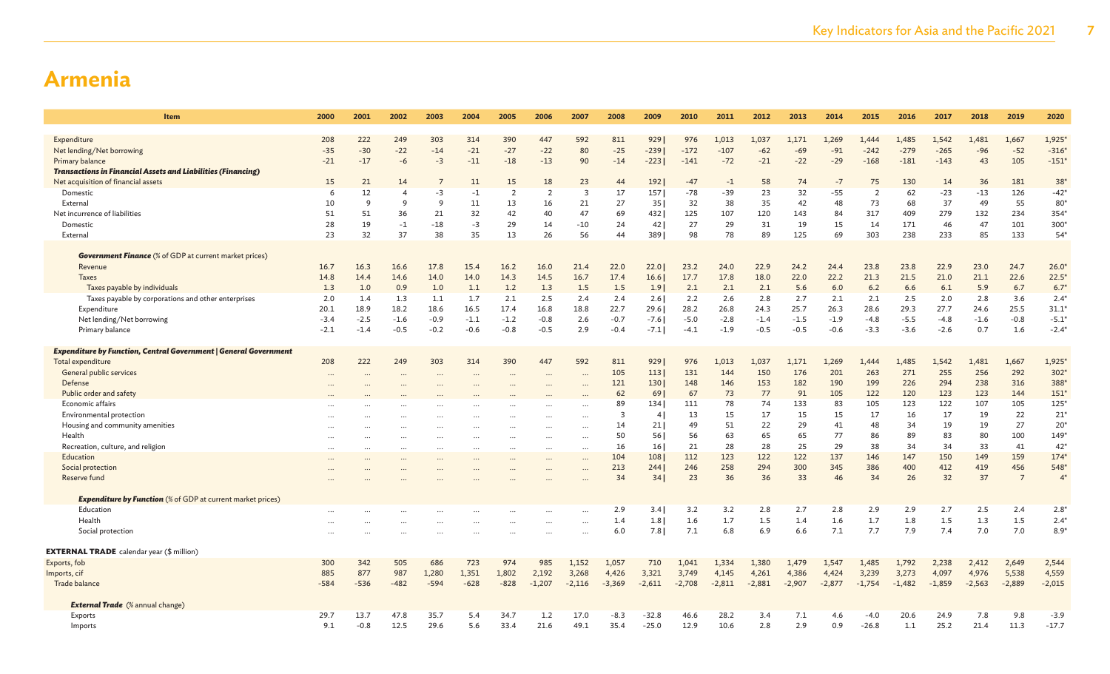| <b>Item</b>                                                                                                | 2000           | 2001           | 2002           | 2003           | 2004           | 2005           | 2006           | 2007                    | 2008           | 2009                   | 2010              | 2011           | 2012           | 2013           | 2014           | 2015           | 2016           | 2017           | 2018           | 2019           | 2020              |
|------------------------------------------------------------------------------------------------------------|----------------|----------------|----------------|----------------|----------------|----------------|----------------|-------------------------|----------------|------------------------|-------------------|----------------|----------------|----------------|----------------|----------------|----------------|----------------|----------------|----------------|-------------------|
|                                                                                                            |                |                |                |                |                |                |                |                         |                |                        |                   |                |                |                |                |                |                |                |                |                |                   |
| Expenditure                                                                                                | 208            | 222            | 249            | 303            | 314            | 390            | 447            | 592                     | 811            | 9291                   | 976               | 1.013          | 1,037          | 1.171          | 1.269          | 1.444          | 1.485          | 1,542          | 1.481          | 1.667          | 1,925             |
| Net lending/Net borrowing                                                                                  | $-35$          | $-30$          | $-22$          | $-14$          | $-21$          | $-27$          | $-22$          | 80                      | $-25$          | $-239$                 | $-172$            | $-107$         | $-62$          | $-69$          | $-91$          | $-242$         | $-279$         | $-265$         | $-96$          | $-52$          | $-316'$           |
| Primary balance                                                                                            | $-21$          | $-17$          | $-6$           | $-3$           | $-11$          | $-18$          | $-13$          | 90                      | $-14$          | $-223$                 | $-141$            | $-72$          | $-21$          | $-22$          | $-29$          | $-168$         | $-181$         | $-143$         | 43             | 105            | $-151$            |
| <b>Transactions in Financial Assets and Liabilities (Financing)</b><br>Net acquisition of financial assets | 15             | 21             | 14             |                | 11             | 15             | 18             | 23                      | 44             | 1921                   | $-47$             | $-1$           | 58             | 74             | $-7$           | 75             | 130            | 14             | 36             | 181            | $38*$             |
| Domestic                                                                                                   | 6              | 12             | $\overline{4}$ | $-3$           | $-1$           | $\overline{2}$ | 2              | $\overline{\mathbf{3}}$ | 17             | 157                    | $-78$             | $-39$          | 23             | 32             | $-55$          | $\overline{2}$ | 62             | $-23$          | $-13$          | 126            | $-42*$            |
| External                                                                                                   | 10             | 9              | <sup>9</sup>   | 9              | 11             | 13             | 16             | 21                      | 27             | 35 I                   | 32                | 38             | 35             | 42             | 48             | 73             | 68             | 37             | 49             | 55             | 80*               |
| Net incurrence of liabilities                                                                              | 51             | 51             | 36             | 21             | 32             | 42             | 40             | 47                      | 69             | 432                    | 125               | 107            | 120            | 143            | 84             | 317            | 409            | 279            | 132            | 234            | 354*              |
| Domestic                                                                                                   | 28             | 19             | $-1$           | $-18$          | $-3$           | 29             | 14             | $-10$                   | 24             | 42 <sub>1</sub>        | 27                | 29             | 31             | 19             | 15             | 14             | 171            | 46             | 47             | 101            | 300*              |
| External                                                                                                   | 23             | 32             | 37             | 38             | 35             | 13             | 26             | 56                      | 44             | 3891                   | 98                | 78             | 89             | 125            | 69             | 303            | 238            | 233            | 85             | 133            | $54*$             |
|                                                                                                            |                |                |                |                |                |                |                |                         |                |                        |                   |                |                |                |                |                |                |                |                |                |                   |
| <b>Government Finance</b> (% of GDP at current market prices)                                              |                |                |                |                |                |                |                |                         |                |                        |                   |                |                |                |                |                |                |                |                |                |                   |
| Revenue                                                                                                    | 16.7           | 16.3           | 16.6           | 17.8           | 15.4           | 16.2           | 16.0           | 21.4                    | 22.0           | 22.0                   | 23.2              | 24.0           | 22.9           | 24.2           | 24.4           | 23.8           | 23.8           | 22.9           | 23.0           | 24.7           | 26.0              |
| <b>Taxes</b>                                                                                               | 14.8           | 14.4           | 14.6           | 14.0           | 14.0           | 14.3           | 14.5           | 16.7                    | 17.4           | 16.6                   | 17.7              | 17.8           | 18.0           | 22.0           | 22.2           | 21.3           | 21.5           | 21.0           | 21.1           | 22.6           | $22.5^{\circ}$    |
| Taxes payable by individuals                                                                               | 1.3            | 1.0            | 0.9            | 1.0            | 1.1            | 1.2            | 1.3            | 1.5                     | 1.5            | 1.91                   | 2.1               | 2.1            | 2.1            | 5.6            | 6.0            | 6.2            | 6.6            | 6.1            | 5.9            | 6.7            | 6.7               |
| Taxes payable by corporations and other enterprises                                                        | 2.0            | 1.4            | 1.3            | 1.1            | 1.7            | 2.1            | 2.5            | 2.4                     | 2.4            | 2.6                    | 2.2               | 2.6            | 2.8            | 2.7            | 2.1            | 2.1            | 2.5            | 2.0            | 2.8            | 3.6            | $2.4^{\circ}$     |
| Expenditure<br>Net lending/Net borrowing                                                                   | 20.1<br>$-3.4$ | 18.9<br>$-2.5$ | 18.2<br>$-1.6$ | 18.6<br>$-0.9$ | 16.5<br>$-1.1$ | 17.4<br>$-1.2$ | 16.8<br>$-0.8$ | 18.8<br>2.6             | 22.7<br>$-0.7$ | 29.6<br>$-7.6$         | 28.2<br>$-5.0$    | 26.8<br>$-2.8$ | 24.3<br>$-1.4$ | 25.7<br>$-1.5$ | 26.3<br>$-1.9$ | 28.6<br>$-4.8$ | 29.3<br>$-5.5$ | 27.7<br>$-4.8$ | 24.6<br>$-1.6$ | 25.5<br>$-0.8$ | 31.1<br>$-5.1$    |
| Primary balance                                                                                            | $-2.1$         | $-1.4$         | $-0.5$         | $-0.2$         | $-0.6$         | $-0.8$         | $-0.5$         | 2.9                     | $-0.4$         | $-7.1$                 | $-4.1$            | $-1.9$         | $-0.5$         | $-0.5$         | $-0.6$         | $-3.3$         | $-3.6$         | $-2.6$         | 0.7            | 1.6            | $-2.4*$           |
|                                                                                                            |                |                |                |                |                |                |                |                         |                |                        |                   |                |                |                |                |                |                |                |                |                |                   |
| <b>Expenditure by Function, Central Government   General Government</b>                                    |                |                |                |                |                |                |                |                         |                |                        |                   |                |                |                |                |                |                |                |                |                |                   |
| Total expenditure                                                                                          | 208            | 222            | 249            | 303            | 314            | 390            | 447            | 592                     | 811            | 929                    | 976               | 1,013          | 1,037          | 1,171          | 1,269          | 1.444          | 1,485          | 1,542          | 1,481          | 1,667          | 1,925             |
| General public services                                                                                    |                |                |                |                |                | $\cdots$       |                |                         | 105            | 113                    | 131               | 144            | 150            | 176            | 201            | 263            | 271            | 255            | 256            | 292            | $302*$            |
| Defense                                                                                                    |                |                |                |                |                |                |                |                         | 121            | 130                    | 148               | 146            | 153            | 182            | 190            | 199            | 226            | 294            | 238            | 316            | 388               |
| Public order and safety                                                                                    |                |                |                |                |                |                |                |                         | 62             | 69                     | 67                | 73             | 77             | 91             | 105            | 122            | 120            | 123            | 123            | 144            | 151'              |
| Economic affairs                                                                                           |                |                |                |                |                |                |                |                         | 89             | 134                    | 111               | 78             | 74             | 133            | 83             | 105            | 123            | 122            | 107            | 105            | $125*$            |
| Environmental protection                                                                                   |                |                |                |                |                |                |                |                         | 3              | 4                      | 13                | 15             | 17             | 15             | 15             | 17             | 16             | 17             | 19             | 22             | $21$ <sup>*</sup> |
| Housing and community amenities                                                                            |                |                |                |                |                | $\cdots$       | $\ddotsc$      | $\ddotsc$               | 14             | 21                     | 49                | 51             | 22             | 29             | 41             | 48             | 34             | 19             | 19             | 27             | $20*$             |
| Health                                                                                                     |                |                |                |                |                | $\cdots$       | $\ddotsc$      | $\ddotsc$               | 50             | 56                     | 56                | 63             | 65             | 65             | 77             | 86             | 89             | 83             | 80             | 100            | $149*$            |
| Recreation, culture, and religion<br>Education                                                             | $\ddots$       |                | $\cdots$       | $\ddots$       |                | $\cdots$       | $\cdots$       | $\ddotsc$               | 16<br>104      | 16 <sup>1</sup><br>108 | 21<br>112         | 28<br>123      | 28<br>122      | 25<br>122      | 29<br>137      | 38<br>146      | 34<br>147      | 34<br>150      | 33<br>149      | 41<br>159      | $42*$<br>$174*$   |
| Social protection                                                                                          |                |                |                |                |                | $\cdots$       |                |                         | 213            | 244                    | 246               | 258            | 294            | 300            | 345            | 386            | 400            | 412            | 419            | 456            | 548               |
| Reserve fund                                                                                               |                |                |                |                |                |                |                |                         | 34             | 34                     | 23                | 36             | 36             | 33             | 46             | 34             | 26             | 32             | 37             | $\overline{7}$ | 4 <sup>5</sup>    |
|                                                                                                            |                |                |                |                |                |                |                |                         |                |                        |                   |                |                |                |                |                |                |                |                |                |                   |
| <b>Expenditure by Function</b> (% of GDP at current market prices)                                         |                |                |                |                |                |                |                |                         |                |                        |                   |                |                |                |                |                |                |                |                |                |                   |
| Education                                                                                                  |                |                |                |                |                | $\cdots$       |                | $\ddotsc$               | 2.9            | 3.4                    | 3.2               | 3.2            | 2.8            | 2.7            | 2.8            | 2.9            | 2.9            | 2.7            | 2.5            | 2.4            | $2.8^*$           |
| Health                                                                                                     |                |                |                |                |                |                |                |                         | 1.4            | 1.8                    | 1.6               | 1.7            | 1.5            | 1.4            | 1.6            | 1.7            | 1.8            | 1.5            | 1.3            | 1.5            | $2.4*$            |
| Social protection                                                                                          |                |                |                |                |                | $\cdots$       | $\ddotsc$      |                         | 6.0            | 7.8                    | 7.1               | 6.8            | 6.9            | 6.6            | 7.1            | 7.7            | 7.9            | 7.4            | 7.0            | 7.0            | $8.9*$            |
|                                                                                                            |                |                |                |                |                |                |                |                         |                |                        |                   |                |                |                |                |                |                |                |                |                |                   |
| <b>EXTERNAL TRADE</b> calendar year (\$ million)                                                           |                |                |                |                |                |                |                |                         |                |                        |                   |                |                |                |                |                |                |                |                |                |                   |
| Exports, fob                                                                                               | 300<br>885     | 342<br>877     | 505<br>987     | 686<br>1,280   | 723<br>1,351   | 974<br>1,802   | 985<br>2,192   | 1,152<br>3,268          | 1,057<br>4,426 | 710<br>3.321           | 1,041             | 1,334<br>4,145 | 1,380<br>4,261 | 1,479<br>4,386 | 1,547<br>4,424 | 1,485<br>3,239 | 1,792<br>3,273 | 2,238<br>4,097 | 2,412<br>4,976 | 2,649<br>5,538 | 2,544<br>4,559    |
| Imports, cif<br>Trade balance                                                                              | $-584$         | $-536$         | $-482$         | $-594$         | $-628$         | $-828$         | $-1,207$       | $-2,116$                | $-3,369$       | $-2,611$               | 3,749<br>$-2,708$ | $-2,811$       | $-2,881$       | $-2,907$       | $-2,877$       | $-1,754$       | $-1,482$       | $-1,859$       | $-2,563$       | $-2,889$       | $-2,015$          |
|                                                                                                            |                |                |                |                |                |                |                |                         |                |                        |                   |                |                |                |                |                |                |                |                |                |                   |
| <b>External Trade</b> (% annual change)                                                                    |                |                |                |                |                |                |                |                         |                |                        |                   |                |                |                |                |                |                |                |                |                |                   |
| Exports                                                                                                    | 29.7           | 13.7           | 47.8           | 35.7           | 5.4            | 34.7           | 1.2            | 17.0                    | -8.3           | $-32.8$                | 46.6              | 28.2           | 3.4            | 7.1            | 4.6            | $-4.0$         | 20.6           | 24.9           | 7.8            | 9.8            | $-3.9$            |
| Imports                                                                                                    | 9.1            | $-0.8$         | 12.5           | 29.6           | 5.6            | 33.4           | 21.6           | 49.1                    | 35.4           | $-25.0$                | 12.9              | 10.6           | 2.8            | 2.9            | 0.9            | $-26.8$        | 1.1            | 25.2           | 21.4           | 11.3           | $-17.7$           |
|                                                                                                            |                |                |                |                |                |                |                |                         |                |                        |                   |                |                |                |                |                |                |                |                |                |                   |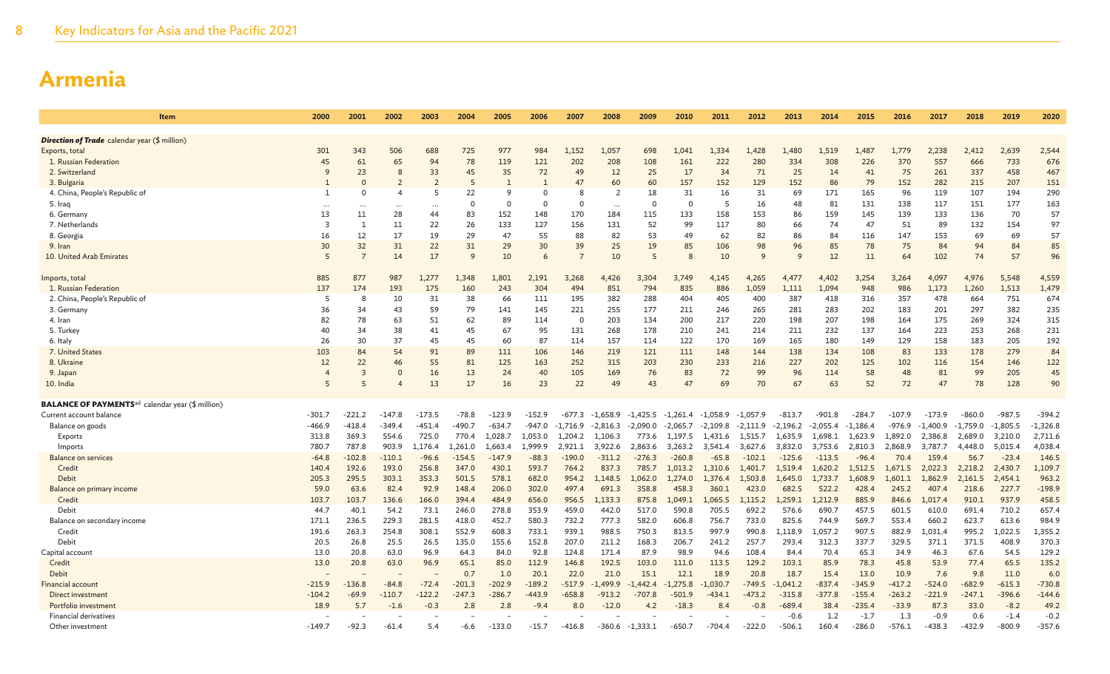| <b>Item</b>                                                         | 2000                 | 2001           | 2002           | 2003     | 2004         | 2005     | 2006     | 2007           | 2008           | 2009           | 2010       | 2011                  | 2012         | 2013       | 2014       | 2015       | 2016      | 2017       | 2018       | 2019       | 2020       |
|---------------------------------------------------------------------|----------------------|----------------|----------------|----------|--------------|----------|----------|----------------|----------------|----------------|------------|-----------------------|--------------|------------|------------|------------|-----------|------------|------------|------------|------------|
|                                                                     |                      |                |                |          |              |          |          |                |                |                |            |                       |              |            |            |            |           |            |            |            |            |
| <b>Direction of Trade</b> calendar year (\$ million)                |                      |                |                |          |              |          |          |                |                |                |            |                       |              |            |            |            |           |            |            |            |            |
| Exports, total                                                      | 301                  | 343            | 506            | 688      | 725          | 977      | 984      | 1,152          | 1,057          | 698            | 1,041      | 1,334                 | 1,428        | 1,480      | 1,519      | 1,487      | 1,779     | 2,238      | 2,412      | 2,639      | 2,544      |
| 1. Russian Federation                                               | 45                   | 61             | 65             | 94       | 78           | 119      | 121      | 202            | 208            | 108            | 161        | 222                   | 280          | 334        | 308        | 226        | 370       | 557        | 666        | 733        | 676        |
| 2. Switzerland                                                      | 9                    | 23             | 8              | 33       | 45           | 35       | 72       | 49             | 12             | 25             | 17         | 34                    | 71           | 25         | 14         | 41         | 75        | 261        | 337        | 458        | 467        |
| 3. Bulgaria                                                         |                      | $\Omega$       |                |          | 5            |          |          | 47             | 60             | 60             | 157        | 152                   | 129          | 152        | 86         | 79         | 152       | 282        | 215        | 207        | 151        |
| 4. China, People's Republic of                                      | $\mathbf{1}$         | $\Omega$       | $\overline{4}$ | 5        | 22           | 9        | $\Omega$ | 8              | $\overline{2}$ | 18             | 31         | 16                    | 31           | 69         | 171        | 165        | 96        | 119        | 107        | 194        | 290        |
| 5. Iraq                                                             |                      |                | $\cdots$       |          | $\Omega$     | $\Omega$ | $\Omega$ | $\Omega$       | $\cdots$       | $\Omega$       | $\Omega$   | -5                    | 16           | 48         | 81         | 131        | 138       | 117        | 151        | 177        | 163        |
| 6. Germany                                                          | 13<br>$\overline{3}$ | 11             | 28             | 44       | 83           | 152      | 148      | 170            | 184            | 115            | 133        | 158                   | 153          | 86         | 159        | 145        | 139       | 133        | 136        | 70         | 57         |
| 7. Netherlands                                                      |                      | 1              | 11<br>17       | 22       | 26           | 133      | 127      | 156            | 131            | 52             | 99         | 117                   | 80           | 66         | 74<br>84   | 47         | 51        | 89         | 132        | 154        | 97         |
| 8. Georgia                                                          | 16<br>30             | 12<br>32       | 31             | 19       | 29<br>31     | 47<br>29 | 55<br>30 | 88<br>39       | 82             | 53<br>19       | 49<br>85   | 62                    | 82<br>98     | 86<br>96   | 85         | 116<br>78  | 147<br>75 | 153<br>84  | 69<br>94   | 69<br>84   | 57<br>85   |
| 9. Iran<br>10. United Arab Emirates                                 | 5                    | $\overline{7}$ | 14             | 22<br>17 | $\mathsf{q}$ | 10       | 6        | $\overline{7}$ | 25<br>10       | $\overline{5}$ | 8          | 106<br>10             | $\mathbf{Q}$ | 9          | 12         | 11         | 64        | 102        | 74         | 57         | 96         |
|                                                                     |                      |                |                |          |              |          |          |                |                |                |            |                       |              |            |            |            |           |            |            |            |            |
| Imports, total                                                      | 885                  | 877            | 987            | 1,277    | 1,348        | 1,801    | 2,191    | 3,268          | 4,426          | 3,304          | 3,749      | 4,145                 | 4,265        | 4,477      | 4,402      | 3,254      | 3,264     | 4,097      | 4,976      | 5,548      | 4,559      |
| 1. Russian Federation                                               | 137                  | 174            | 193            | 175      | 160          | 243      | 304      | 494            | 851            | 794            | 835        | 886                   | 1,059        | 1,111      | 1,094      | 948        | 986       | 1,173      | 1,260      | 1,513      | 1,479      |
| 2. China, People's Republic of                                      | 5                    | 8              | 10             | 31       | 38           | 66       | 111      | 195            | 382            | 288            | 404        | 405                   | 400          | 387        | 418        | 316        | 357       | 478        | 664        | 751        | 674        |
| 3. Germany                                                          | 36                   | 34             | 43             | 59       | 79           | 141      | 145      | 221            | 255            | 177            | 211        | 246                   | 265          | 281        | 283        | 202        | 183       | 201        | 297        | 382        | 235        |
| 4. Iran                                                             | 82                   | 78             | 63             | 51       | 62           | 89       | 114      | $\Omega$       | 203            | 134            | 200        | 217                   | 220          | 198        | 207        | 198        | 164       | 175        | 269        | 324        | 315        |
| 5. Turkey                                                           | 40                   | 34             | 38             | 41       | 45           | 67       | 95       | 131            | 268            | 178            | 210        | 241                   | 214          | 211        | 232        | 137        | 164       | 223        | 253        | 268        | 231        |
| 6. Italy                                                            | 26                   | 30             | 37             | 45       | 45           | 60       | 87       | 114            | 157            | 114            | 122        | 170                   | 169          | 165        | 180        | 149        | 129       | 158        | 183        | 205        | 192        |
| 7. United States                                                    | 103                  | 84             | 54             | 91       | 89           | 111      | 106      | 146            | 219            | 121            | 111        | 148                   | 144          | 138        | 134        | 108        | 83        | 133        | 178        | 279        | 84         |
| 8. Ukraine                                                          | 12                   | 22             | 46             | 55       | 81           | 125      | 163      | 252            | 315            | 203            | 230        | 233                   | 216          | 227        | 202        | 125        | 102       | 116        | 154        | 146        | 122        |
| 9. Japan                                                            | $\overline{4}$       | $\overline{3}$ | $\overline{0}$ | 16       | 13           | 24       | 40       | 105            | 169            | 76             | 83         | 72                    | 99           | 96         | 114        | 58         | 48        | 81         | 99         | 205        | 45         |
| 10. India                                                           | 5                    | 5              | $\overline{4}$ | 13       | 17           | 16       | 23       | 22             | 49             | 43             | 47         | 69                    | 70           | 67         | 63         | 52         | 72        | 47         | 78         | 128        | 90         |
| <b>BALANCE OF PAYMENTS</b> <sup>ad</sup> calendar year (\$ million) |                      |                |                |          |              |          |          |                |                |                |            |                       |              |            |            |            |           |            |            |            |            |
| Current account balance                                             | $-301.7$             | $-221.2$       | $-147.8$       | $-173.5$ | $-78.8$      | $-123.9$ | $-152.9$ | -677.3         | -1,658.9       | $-1,425.5$     | $-1,261.4$ | $-1,058.9$ $-1,057.9$ |              | $-813.7$   | $-901.8$   | $-284.7$   | $-107.9$  | $-173.9$   | $-860.0$   | $-987.5$   | $-394.2$   |
| Balance on goods                                                    | $-466.9$             | $-418.4$       | $-349.4$       | $-451.4$ | $-490.7$     | $-634.7$ | $-947.0$ | $-1.716.9$     | $-2,816.3$     | $-2.090.0$     | $-2.065.7$ | $-2,109.8$            | $-2.111.9$   | $-2.196.2$ | $-2.055.4$ | $-1.186.4$ | $-976.9$  | $-1.400.9$ | $-1.759.0$ | $-1.805.5$ | $-1,326.8$ |
| Exports                                                             | 313.8                | 369.3          | 554.6          | 725.0    | 770.4        | 1,028.7  | 1,053.0  | 1,204.2        | 1,106.3        | 773.6          | 1,197.5    | 1,431.6               | 1,515.7      | 1,635.9    | 1,698.1    | 1,623.9    | 1,892.0   | 2,386.8    | 2,689.0    | 3,210.0    | 2,711.6    |
| Imports                                                             | 780.7                | 787.8          | 903.9          | 1.176.4  | 1.261.0      | 1.663.4  | 1.999.9  | 2,921.1        | 3,922.6        | 2,863.6        | 3,263.2    | 3.541.4               | 3,627.6      | 3,832.0    | 3,753.6    | 2,810.3    | 2,868.9   | 3.787.7    | 4,448.0    | 5,015.4    | 4,038.4    |
| Balance on services                                                 | $-64.8$              | $-102.8$       | $-110.1$       | $-96.6$  | $-154.5$     | $-147.9$ | $-88.3$  | $-190.0$       | $-311.2$       | $-276.3$       | $-260.8$   | $-65.8$               | $-102.1$     | $-125.6$   | $-113.5$   | $-96.4$    | 70.4      | 159.4      | 56.7       | $-23.4$    | 146.5      |
| Credit                                                              | 140.4                | 192.6          | 193.0          | 256.8    | 347.0        | 430.1    | 593.7    | 764.2          | 837.3          | 785.7          | 1,013.2    | 1,310.6               | 1,401.7      | 1,519.4    | 1,620.2    | 1,512.5    | 1,671.5   | 2,022.3    | 2,218.2    | 2,430.7    | 1,109.7    |
| Debit                                                               | 205.3                | 295.5          | 303.1          | 353.3    | 501.5        | 578.1    | 682.0    | 954.2          | 1,148.5        | .062.0         | 1,274.0    | 1,376.4               | 1,503.8      | 1,645.0    | 1.733.7    | 1.608.9    | 1.601.1   | 1,862.9    | 2,161.5    | 2,454.1    | 963.2      |
| Balance on primary income                                           | 59.0                 | 63.6           | 82.4           | 92.9     | 148.4        | 206.0    | 302.0    | 497.4          | 691.3          | 358.8          | 458.3      | 360.1                 | 423.0        | 682.5      | 522.2      | 428.4      | 245.2     | 407.4      | 218.6      | 227.7      | $-198.9$   |
| Credit                                                              | 103.7                | 103.7          | 136.6          | 166.0    | 394.4        | 484.9    | 656.0    | 956.5          | 1,133.3        | 875.8          | 1,049.1    | L,065.5               | 1,115.2      | 1,259.1    | 1,212.9    | 885.9      | 846.6     | 1,017.4    | 910.1      | 937.9      | 458.5      |
| Debit                                                               | 44.7                 | 40.1           | 54.2           | 73.1     | 246.0        | 278.8    | 353.9    | 459.0          | 442.0          | 517.0          | 590.8      | 705.5                 | 692.2        | 576.6      | 690.7      | 457.5      | 601.5     | 610.0      | 691.4      | 710.2      | 657.4      |
| Balance on secondary income                                         | 171.1                | 236.5          | 229.3          | 281.5    | 418.0        | 452.7    | 580.3    | 732.2          | 777.3          | 582.0          | 606.8      | 756.7                 | 733.0        | 825.6      | 744.9      | 569.7      | 553.4     | 660.2      | 623.7      | 613.6      | 984.9      |
| Credit                                                              | 191.6                | 263.3          | 254.8          | 308.1    | 552.9        | 608.3    | 733.1    | 939.1          | 988.5          | 750.3          | 813.5      | 997.9                 | 990.8        | 1,118.9    | L,057.2    | 907.5      | 882.9     | 1,031.4    | 995.2      | 1,022.5    | 1,355.2    |
| Debit                                                               | 20.5                 | 26.8           | 25.5           | 26.5     | 135.0        | 155.6    | 152.8    | 207.0          | 211.2          | 168.3          | 206.7      | 241.2                 | 257.7        | 293.4      | 312.3      | 337.7      | 329.5     | 371.1      | 371.5      | 408.9      | 370.3      |
| Capital account                                                     | 13.0                 | 20.8           | 63.0           | 96.9     | 64.3         | 84.0     | 92.8     | 124.8          | 171.4          | 87.9           | 98.9       | 94.6                  | 108.4        | 84.4       | 70.4       | 65.3       | 34.9      | 46.3       | 67.6       | 54.5       | 129.2      |
| Credit                                                              | 13.0                 | 20.8           | 63.0           | 96.9     | 65.1         | 85.0     | 112.9    | 146.8          | 192.5          | 103.0          | 111.0      | 113.5                 | 129.2        | 103.1      | 85.9       | 78.3       | 45.8      | 53.9       | 77.4       | 65.5       | 135.2      |
| Debit                                                               |                      |                |                |          | 0.7          | 1.0      | 20.1     | 22.0           | 21.0           | 15.1           | 12.1       | 18.9                  | 20.8         | 18.7       | 15.4       | 13.0       | 10.9      | 7.6        | 9.8        | 11.0       | 6.0        |
| Financial account                                                   | $-215.9$             | $-136.8$       | $-84.8$        | $-72.4$  | $-201.3$     | $-202.9$ | $-189.2$ | -517.9         | $-1.499.9$     | $-1.442.4$     | $-1.275.8$ | $-1.030.7$            | $-749.5$     | $-1.041.2$ | $-837.4$   | $-345.9$   | $-417.2$  | $-524.0$   | $-682.9$   | $-615.3$   | $-730.8$   |
| Direct investment                                                   | $-104.2$             | $-69.9$        | $-110.7$       | $-122.2$ | $-247.3$     | $-286.7$ | $-443.9$ | $-658.8$       | $-913.2$       | $-707.8$       | $-501.9$   | $-434.1$              | -473.2       | $-315.8$   | $-377.8$   | $-155.4$   | $-263.2$  | $-221.9$   | $-247.1$   | $-396.6$   | $-144.6$   |
| Portfolio investment                                                | 18.9                 | 5.7            | $-1.6$         | $-0.3$   | 2.8          | 2.8      | $-9.4$   | 8.0            | $-12.0$        | 4.2            | $-18.3$    | 8.4                   | $-0.8$       | $-689.4$   | 38.4       | $-235.4$   | $-33.9$   | 87.3       | 33.0       | $-8.2$     | 49.2       |
| <b>Financial derivatives</b>                                        |                      |                |                |          |              |          |          |                |                |                |            |                       |              | $-0.6$     | 1.2        | $-1.7$     | 1.3       | $-0.9$     | 0.6        | $-1.4$     | $-0.2$     |
| Other investment                                                    | $-149.7$             | -92.3          | $-61.4$        | 5.4      | -6.6         | $-133.0$ | $-15.7$  | -416.8         | -360.6         | $-1,333.1$     | $-650.7$   | $-704.4$              | $-222.0$     | -506.1     | 160.4      | $-286.0$   | $-576.1$  | -438.3     | -432.9     | $-800.9$   | $-357.6$   |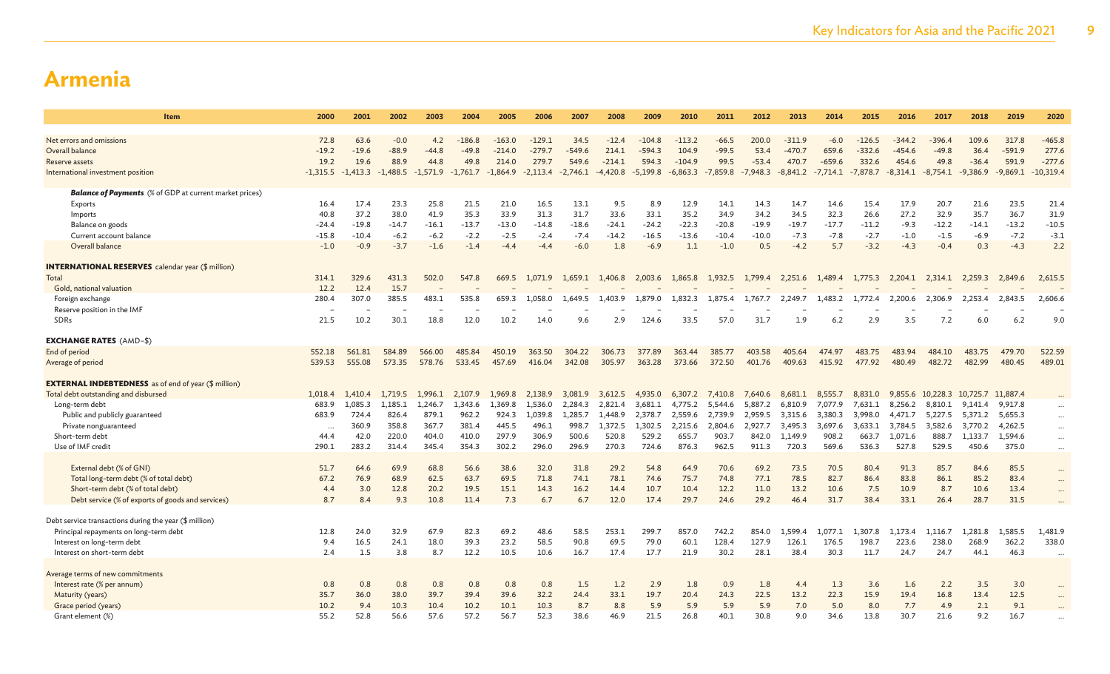| Item                                                           | 2000       | 2001       | 2002       | 2003       | 2004       | 2005       | 2006       | 2007       | 2008       | 2009       | 2010       | 2011       | 2012       | 2013       | 2014       | 2015       | 2016       | 2017                      | 2018       | 2019       | 2020        |
|----------------------------------------------------------------|------------|------------|------------|------------|------------|------------|------------|------------|------------|------------|------------|------------|------------|------------|------------|------------|------------|---------------------------|------------|------------|-------------|
| Net errors and omissions                                       | 72.8       | 63.6       | $-0.0$     | 4.2        | $-186.8$   | $-163.0$   | $-129.1$   | 34.5       | $-12.4$    | $-104.8$   | $-113.2$   | $-66.5$    | 200.0      | $-311.9$   | $-6.0$     | $-126.5$   | -344.2     | $-396.4$                  | 109.6      | 317.8      | $-465.8$    |
| Overall balance                                                | $-19.2$    | $-19.6$    | $-88.9$    | $-44.8$    | $-49.8$    | $-214.0$   | $-279.7$   | $-549.6$   | 214.1      | $-594.3$   | 104.9      | $-99.5$    | 53.4       | $-470.7$   | 659.6      | $-332.6$   | $-454.6$   | $-49.8$                   | 36.4       | $-591.9$   | 277.6       |
| Reserve assets                                                 | 19.2       | 19.6       | 88.9       | 44.8       | 49.8       | 214.0      | 279.7      | 549.6      | $-214.1$   | 594.3      | $-104.9$   | 99.5       | $-53.4$    | 470.7      | $-659.6$   | 332.6      | 454.6      | 49.8                      | $-36.4$    | 591.9      | $-277.6$    |
| International investment position                              | $-1,315.5$ | $-1,413.3$ | $-1,488.5$ | $-1,571.9$ | $-1,761.7$ | $-1,864.9$ | $-2,113.4$ | $-2,746.1$ | $-4,420.8$ | $-5,199.8$ | $-6,863.3$ | $-7,859.8$ | $-7,948.3$ | $-8,841.2$ | $-7,714.1$ | $-7,878.7$ | $-8,314.1$ | $-8,754.1$                | $-9,386.9$ | $-9,869.1$ | $-10,319.4$ |
|                                                                |            |            |            |            |            |            |            |            |            |            |            |            |            |            |            |            |            |                           |            |            |             |
| <b>Balance of Payments</b> (% of GDP at current market prices) |            |            |            |            |            |            |            |            |            |            |            |            |            |            |            |            |            |                           |            |            |             |
| Exports                                                        | 16.4       | 17.4       | 23.3       | 25.8       | 21.5       | 21.0       | 16.5       | 13.1       | 9.5        | 8.9        | 12.9       | 14.1       | 14.3       | 14.7       | 14.6       | 15.4       | 17.9       | 20.7                      | 21.6       | 23.5       | 21.4        |
| Imports                                                        | 40.8       | 37.2       | 38.0       | 41.9       | 35.3       | 33.9       | 31.3       | 31.7       | 33.6       | 33.1       | 35.2       | 34.9       | 34.2       | 34.5       | 32.3       | 26.6       | 27.2       | 32.9                      | 35.7       | 36.7       | 31.9        |
| Balance on goods                                               | $-24.4$    | $-19.8$    | $-14.7$    | $-16.1$    | $-13.7$    | $-13.0$    | $-14.8$    | $-18.6$    | $-24.1$    | $-24.2$    | $-22.3$    | $-20.8$    | -19.9      | $-19.7$    | $-17.7$    | $-11.2$    | $-9.3$     | $-12.2$                   | $-14.1$    | $-13.2$    | $-10.5$     |
| Current account balance                                        | $-15.8$    | $-10.4$    | $-6.2$     | $-6.2$     | $-2.2$     | $-2.5$     | $-2.4$     | $-7.4$     | $-14.2$    | $-16.5$    | $-13.6$    | $-10.4$    | $-10.0$    | $-7.3$     | $-7.8$     | $-2.7$     | $-1.0$     | $-1.5$                    | $-6.9$     | $-7.2$     | $-3.1$      |
| Overall balance                                                | $-1.0$     | $-0.9$     | $-3.7$     | $-1.6$     | $-1.4$     | $-4.4$     | $-4.4$     | $-6.0$     | 1.8        | $-6.9$     | 1.1        | $-1.0$     | 0.5        | $-4.2$     | 5.7        | $-3.2$     | $-4.3$     | $-0.4$                    | 0.3        | $-4.3$     | 2.2         |
| <b>INTERNATIONAL RESERVES</b> calendar year (\$ million)       |            |            |            |            |            |            |            |            |            |            |            |            |            |            |            |            |            |                           |            |            |             |
| Total                                                          | 314.1      | 329.6      | 431.3      | 502.0      | 547.8      | 669.5      | 1,071.9    | 1,659.1    | 1,406.8    | 2,003.6    | 1,865.8    | 1,932.5    | 1,799.4    | 2,251.6    | 1,489.4    | 1,775.3    | 2,204.1    | 2,314.1                   | 2,259.3    | 2,849.6    | 2,615.5     |
| Gold, national valuation                                       | 12.2       | 12.4       | 15.7       |            |            |            |            |            |            |            |            |            |            |            |            |            |            |                           |            |            |             |
| Foreign exchange                                               | 280.4      | 307.0      | 385.5      | 483.1      | 535.8      | 659.3      | 1,058.0    | 1.649.5    | 1,403.9    | 1.879.0    | 1.832.3    | 1,875.4    | 1,767.7    | 2,249.7    | 1,483.2    | 1,772.4    | 2,200.6    | 2,306.9                   | 2,253.4    | 2,843.5    | 2,606.6     |
| Reserve position in the IMF                                    |            |            |            |            |            |            |            |            |            |            |            |            |            |            |            |            |            |                           |            |            |             |
| SDRs                                                           | 21.5       | 10.2       | 30.1       | 18.8       | 12.0       | 10.2       | 14.0       | 9.6        | 2.9        | 124.6      | 33.5       | 57.0       | 31.7       | 1.9        | 6.2        | 2.9        | 3.5        | 7.2                       | 6.0        | 6.2        | 9.0         |
|                                                                |            |            |            |            |            |            |            |            |            |            |            |            |            |            |            |            |            |                           |            |            |             |
| <b>EXCHANGE RATES (AMD-\$)</b>                                 |            |            |            |            |            |            |            |            |            |            |            |            |            |            |            |            |            |                           |            |            |             |
| End of period                                                  | 552.18     | 561.81     | 584.89     | 566.00     | 485.84     | 450.19     | 363.50     | 304.22     | 306.73     | 377.89     | 363.44     | 385.77     | 403.58     | 405.64     | 474.97     | 483.75     | 483.94     | 484.10                    | 483.75     | 479.70     | 522.59      |
| Average of period                                              | 539.53     | 555.08     | 573.35     | 578.76     | 533.45     | 457.69     | 416.04     | 342.08     | 305.97     | 363.28     | 373.66     | 372.50     | 401.76     | 409.63     | 415.92     | 477.92     | 480.49     | 482.72                    | 482.99     | 480.45     | 489.01      |
| <b>EXTERNAL INDEBTEDNESS</b> as of end of year (\$ million)    |            |            |            |            |            |            |            |            |            |            |            |            |            |            |            |            |            |                           |            |            |             |
| Total debt outstanding and disbursed                           | 1,018.4    | 1.410.4    | 1,719.5    | 1.996.1    | 2.107.9    | 1,969.8    | 2,138.9    | 3,081.9    | 3,612.5    | 4,935.0    | 6,307.2    | 7,410.8    | 7,640.6    | 8,681.1    | 8,555.7    | 8,831.0    |            | 9,855.6 10,228.3 10,725.7 |            | 11,887.4   |             |
| Long-term debt                                                 | 683.9      | 1,085.3    | 1,185.1    | 1,246.7    | 1,343.6    | 1,369.8    | 1,536.0    | 2,284.3    | 2,821.4    | 3,681.1    | 4,775.2    | 5,544.6    | 5,887.2    | 6,810.9    | 7,077.9    | 7,631.1    | 8,256.2    | 8,810.1                   | 9,141.4    | 9,917.8    | $\cdots$    |
| Public and publicly guaranteed                                 | 683.9      | 724.4      | 826.4      | 879.1      | 962.2      | 924.3      | 1,039.8    | 1.285.7    | 1,448.9    | 2,378.7    | 2,559.6    | 2,739.9    | 2,959.5    | 3,315.6    | 3,380.3    | 3,998.0    | 4.471.7    | 5,227.5                   | 5,371.2    | 5,655.3    | $\cdots$    |
| Private nonguaranteed                                          | $\ddots$   | 360.9      | 358.8      | 367.7      | 381.4      | 445.5      | 496.1      | 998.7      | 1,372.5    | 1,302.5    | 2.215.6    | 2,804.6    | 2,927.7    | 3,495.3    | 3,697.6    | 3,633.1    | 3,784.5    | 3,582.6                   | 3,770.2    | 4,262.5    | $\cdots$    |
| Short-term debt                                                | 44.4       | 42.0       | 220.0      | 404.0      | 410.0      | 297.9      | 306.9      | 500.6      | 520.8      | 529.2      | 655.7      | 903.7      | 842.0      | 1,149.9    | 908.2      | 663.7      | 1,071.6    | 888.7                     | 1,133.7    | 1,594.6    | $\cdots$    |
| Use of IMF credit                                              | 290.1      | 283.2      | 314.4      | 345.4      | 354.3      | 302.2      | 296.0      | 296.9      | 270.3      | 724.6      | 876.3      | 962.5      | 911.3      | 720.3      | 569.6      | 536.3      | 527.8      | 529.5                     | 450.6      | 375.0      | $\cdots$    |
|                                                                |            |            |            |            |            |            |            |            |            |            |            |            |            |            |            |            |            |                           |            |            |             |
| External debt (% of GNI)                                       | 51.7       | 64.6       | 69.9       | 68.8       | 56.6       | 38.6       | 32.0       | 31.8       | 29.2       | 54.8       | 64.9       | 70.6       | 69.2       | 73.5       | 70.5       | 80.4       | 91.3       | 85.7                      | 84.6       | 85.5       | $\cdots$    |
| Total long-term debt (% of total debt)                         | 67.2       | 76.9       | 68.9       | 62.5       | 63.7       | 69.5       | 71.8       | 74.1       | 78.1       | 74.6       | 75.7       | 74.8       | 77.1       | 78.5       | 82.7       | 86.4       | 83.8       | 86.1                      | 85.2       | 83.4       | $\cdots$    |
| Short-term debt (% of total debt)                              | 4.4        | 3.0        | 12.8       | 20.2       | 19.5       | 15.1       | 14.3       | 16.2       | 14.4       | 10.7       | 10.4       | 12.2       | 11.0       | 13.2       | 10.6       | 7.5        | 10.9       | 8.7                       | 10.6       | 13.4       | $\cdots$    |
| Debt service (% of exports of goods and services)              | 8.7        | 8.4        | 9.3        | 10.8       | 11.4       | 7.3        | 6.7        | 6.7        | 12.0       | 17.4       | 29.7       | 24.6       | 29.2       | 46.4       | 31.7       | 38.4       | 33.1       | 26.4                      | 28.7       | 31.5       |             |
| Debt service transactions during the year (\$ million)         |            |            |            |            |            |            |            |            |            |            |            |            |            |            |            |            |            |                           |            |            |             |
| Principal repayments on long-term debt                         | 12.8       | 24.0       | 32.9       | 67.9       | 82.3       | 69.2       | 48.6       | 58.5       | 253.1      | 299.7      | 857.0      | 742.2      | 854.0      | 1.599.4    | 1,077.1    | 1,307.8    | 1,173.4    | 1.116.7                   | 1.281.8    | 1,585.5    | 1,481.9     |
| Interest on long-term debt                                     | 9.4        | 16.5       | 24.1       | 18.0       | 39.3       | 23.2       | 58.5       | 90.8       | 69.5       | 79.0       | 60.1       | 128.4      | 127.9      | 126.1      | 176.5      | 198.7      | 223.6      | 238.0                     | 268.9      | 362.2      | 338.0       |
| Interest on short-term debt                                    | 2.4        | 1.5        | 3.8        | 8.7        | 12.2       | 10.5       | 10.6       | 16.7       | 17.4       | 17.7       | 21.9       | 30.2       | 28.1       | 38.4       | 30.3       | 11.7       | 24.7       | 24.7                      | 44.1       | 46.3       | $\cdots$    |
|                                                                |            |            |            |            |            |            |            |            |            |            |            |            |            |            |            |            |            |                           |            |            |             |
| Average terms of new commitments                               |            |            |            |            |            |            |            |            |            |            |            |            |            |            |            |            |            |                           |            |            |             |
| Interest rate (% per annum)                                    | 0.8        | 0.8        | 0.8        | 0.8        | 0.8        | 0.8        | 0.8        | 1.5        | 1.2        | 2.9        | 1.8        | 0.9        | 1.8        | 4.4        | 1.3        | 3.6        | 1.6        | 2.2                       | 3.5        | 3.0        |             |
| Maturity (years)                                               | 35.7       | 36.0       | 38.0       | 39.7       | 39.4       | 39.6       | 32.2       | 24.4       | 33.1       | 19.7       | 20.4       | 24.3       | 22.5       | 13.2       | 22.3       | 15.9       | 19.4       | 16.8                      | 13.4       | 12.5       |             |
| Grace period (years)                                           | 10.2       | 9.4        | 10.3       | 10.4       | 10.2       | 10.1       | 10.3       | 8.7        | 8.8        | 5.9        | 5.9        | 5.9        | 5.9        | 7.0        | 5.0        | 8.0        | 7.7        | 4.9                       | 2.1        | 9.1        |             |
| Grant element (%)                                              | 55.2       | 52.8       | 56.6       | 57.6       | 57.2       | 56.7       | 52.3       | 38.6       | 46.9       | 21.5       | 26.8       | 40.1       | 30.8       | 9.0        | 34.6       | 13.8       | 30.7       | 21.6                      | 9.2        | 16.7       |             |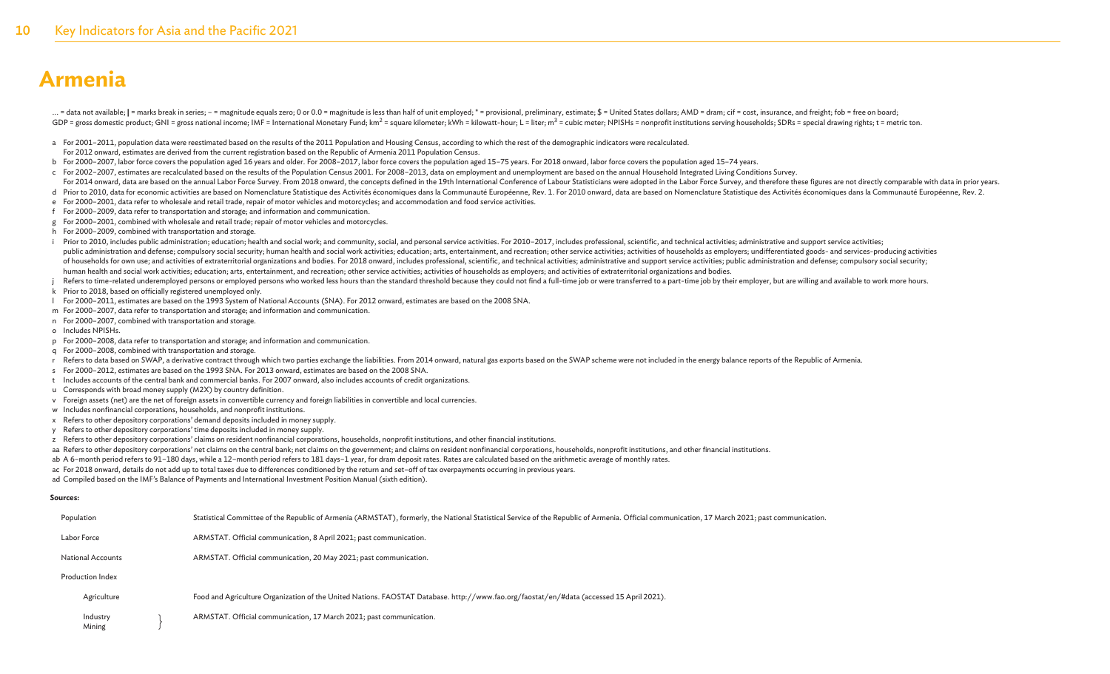... = data not available; | = marks break in series; - = magnitude equals zero; 0 or 0.0 = magnitude is less than half of unit employed; \* = provisional, preliminary, estimate; \$ = United States dollars; AMD = dram; cif = GDP = gross domestic product; GNI = gross national income; IMF = International Monetary Fund; km<sup>2</sup> = square kilometer; kWh = kilowatt-hour; L = liter; m<sup>3</sup> = cubic meter; NPISHs = nonprofit institutions serving households

- a For 2001-2011, population data were reestimated based on the results of the 2011 Population and Housing Census, according to which the rest of the demographic indicators were recalculated.
- For 2012 onward, estimates are derived from the current registration based on the Republic of Armenia 2011 Population Census.
- b For 2000–2007, labor force covers the population aged 16 years and older. For 2008–2017, labor force covers the population aged 15–75 years. For 2018 onward, labor force covers the population aged 15–74 years.
- c For 2002–2007, estimates are recalculated based on the results of the Population Census 2001. For 2008–2013, data on employment and unemployment are based on the annual Household Integrated Living Conditions Survey.
- For 2014 onward, data are based on the annual Labor Force Survey. From 2018 onward, the concepts defined in the 19th International Conference of Labour Statisticians were adopted in the Labor Force Survey, and therefore th
- d Prior to 2010, data for economic activities are based on Nomenclature Statistique des Activités économiques dans la Communauté Européenne, Rev. 1. For 2010 onward, data are based on Nomenclature Statistique des Activités
- e For 2000–2001, data refer to wholesale and retail trade, repair of motor vehicles and motorcycles; and accommodation and food service activities.
- f For 2000–2009, data refer to transportation and storage; and information and communication.
- g For 2000–2001, combined with wholesale and retail trade; repair of motor vehicles and motorcycles.
- h For 2000–2009, combined with transportation and storage.
- i Prior to 2010, includes public administration; education; health and social work; and community, social, and personal service activities. For 2010-2017, includes professional, scientific, and technical activities; admini public administration and defense; compulsory social security; human health and social work activities; education; arts, entertainment, and recreation; other service activities; activities; activities as employers; undiffe of households for own use; and activities of extraterritorial organizations and bodies. For 2018 onward, includes professional, scientific, and technical activities; administrative and support service activities; public ad human health and social work activities; education; arts, entertainment, and recreation; other service activities; activities of households as employers; and activities of extraterritorial organizations and bodies.
- Refers to time-related underemployed persons or employed persons who worked less hours than the standard threshold because they could not find a full-time job or were transferred to a part-time job by their employer, but a
- k Prior to 2018, based on officially registered unemployed only.
- l For 2000–2011, estimates are based on the 1993 System of National Accounts (SNA). For 2012 onward, estimates are based on the 2008 SNA.
- m For 2000–2007, data refer to transportation and storage; and information and communication.
- n For 2000–2007, combined with transportation and storage.
- o Includes NPISHs.
- p For 2000–2008, data refer to transportation and storage; and information and communication.
- q For 2000–2008, combined with transportation and storage.
- r Refers to data based on SWAP, a derivative contract through which two parties exchange the liabilities. From 2014 onward, natural gas exports based on the SWAP scheme were not included in the energy balance reports of th
- s For 2000–2012, estimates are based on the 1993 SNA. For 2013 onward, estimates are based on the 2008 SNA.
- t Includes accounts of the central bank and commercial banks. For 2007 onward, also includes accounts of credit organizations.
- u Corresponds with broad money supply (M2X) by country definition.
- v Foreign assets (net) are the net of foreign assets in convertible currency and foreign liabilities in convertible and local currencies.
- w Includes nonfinancial corporations, households, and nonprofit institutions.
- x Refers to other depository corporations' demand deposits included in money supply.
- y Refers to other depository corporations' time deposits included in money supply.
- z Refers to other depository corporations' claims on resident nonfinancial corporations, households, nonprofit institutions, and other financial institutions.
- aa Refers to other depository corporations' net claims on the central bank; net claims on the government; and claims on resident nonfinancial corporations, households, nonprofit institutions, and other financial institutio
- ab A 6-month period refers to 91-180 days, while a 12-month period refers to 181 days-1 year, for dram deposit rates. Rates are calculated based on the arithmetic average of monthly rates.
- ac For 2018 onward, details do not add up to total taxes due to differences conditioned by the return and set–off of tax overpayments occurring in previous years.

ad Compiled based on the IMF's Balance of Payments and International Investment Position Manual (sixth edition).

#### **Sources:**

| Population               | Statistical Committee of the Republic of Armenia (ARMSTAT), formerly, the National Statistical Service of the Republic of Armenia. Official communication, 17 March 2021; past communication. |
|--------------------------|-----------------------------------------------------------------------------------------------------------------------------------------------------------------------------------------------|
| Labor Force              | ARMSTAT. Official communication, 8 April 2021; past communication.                                                                                                                            |
| <b>National Accounts</b> | ARMSTAT. Official communication, 20 May 2021; past communication.                                                                                                                             |
| <b>Production Index</b>  |                                                                                                                                                                                               |
| Agriculture              | Food and Agriculture Organization of the United Nations. FAOSTAT Database. http://www.fao.org/faostat/en/#data (accessed 15 April 2021).                                                      |
| Industry<br>Mining       | ARMSTAT. Official communication, 17 March 2021; past communication.                                                                                                                           |